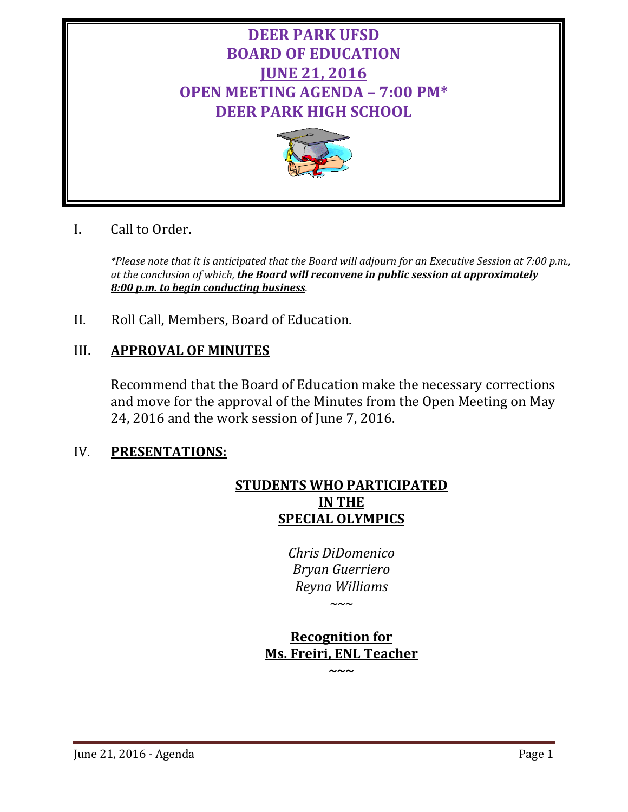



# I. Call to Order.

*\*Please note that it is anticipated that the Board will adjourn for an Executive Session at 7:00 p.m., at the conclusion of which, the Board will reconvene in public session at approximately 8:00 p.m. to begin conducting business.*

II. Roll Call, Members, Board of Education.

# III. **APPROVAL OF MINUTES**

Recommend that the Board of Education make the necessary corrections and move for the approval of the Minutes from the Open Meeting on May 24, 2016 and the work session of June 7, 2016.

# IV. **PRESENTATIONS:**

# **STUDENTS WHO PARTICIPATED IN THE SPECIAL OLYMPICS**

*Chris DiDomenico Bryan Guerriero Reyna Williams*

*~~~*

# **Recognition for Ms. Freiri, ENL Teacher**

**~~~**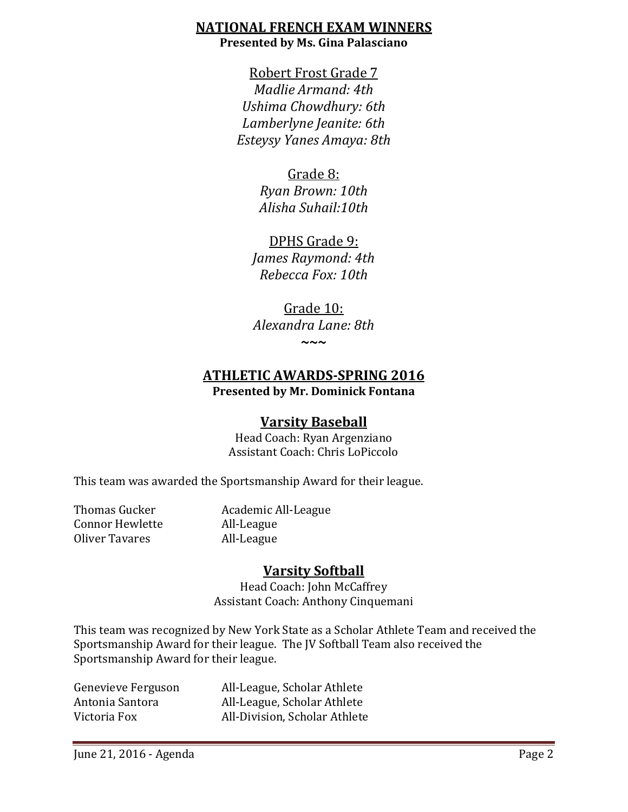# **NATIONAL FRENCH EXAM WINNERS Presented by Ms. Gina Palasciano**

Robert Frost Grade 7 *Madlie Armand: 4th Ushima Chowdhury: 6th Lamberlyne Jeanite: 6th Esteysy Yanes Amaya: 8th*

# Grade 8:

*Ryan Brown: 10th Alisha Suhail:10th*

DPHS Grade 9: *James Raymond: 4th Rebecca Fox: 10th*

Grade 10: *Alexandra Lane: 8th*

**~~~**

# **ATHLETIC AWARDS-SPRING 2016 Presented by Mr. Dominick Fontana**

# **Varsity Baseball**

Head Coach: Ryan Argenziano Assistant Coach: Chris LoPiccolo

This team was awarded the Sportsmanship Award for their league.

Connor Hewlette All-League<br>Oliver Tavares All-League Oliver Tavares

Thomas Gucker **Academic All-League**<br>
Connor Hewlette **All-League** 

# **Varsity Softball**

Head Coach: John McCaffrey Assistant Coach: Anthony Cinquemani

This team was recognized by New York State as a Scholar Athlete Team and received the Sportsmanship Award for their league. The JV Softball Team also received the Sportsmanship Award for their league.

Genevieve Ferguson All-League, Scholar Athlete Antonia Santora All-League, Scholar Athlete<br>Victoria Fox All-Division. Scholar Athlete

All-Division, Scholar Athlete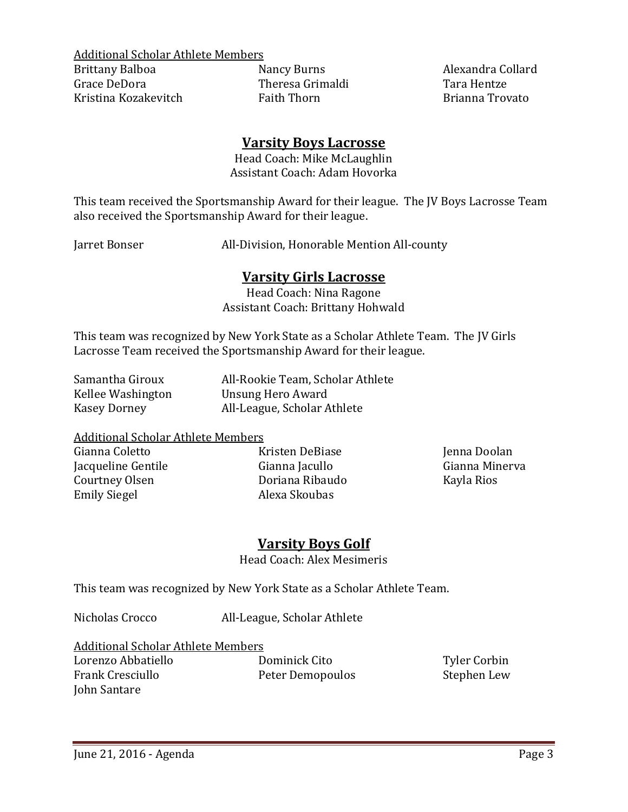Additional Scholar Athlete Members<br>Brittany Balboa Mancy Burns

Brittany Balboa Nancy Burns Alexandra Collard Kristina Kozakevitch

Theresa Grimaldi Tara Hentze<br>Faith Thorn Brianna Trovato

# **Varsity Boys Lacrosse**

Head Coach: Mike McLaughlin Assistant Coach: Adam Hovorka

This team received the Sportsmanship Award for their league. The JV Boys Lacrosse Team also received the Sportsmanship Award for their league.

Jarret Bonser All-Division, Honorable Mention All-county

# **Varsity Girls Lacrosse**

Head Coach: Nina Ragone Assistant Coach: Brittany Hohwald

This team was recognized by New York State as a Scholar Athlete Team. The JV Girls Lacrosse Team received the Sportsmanship Award for their league.

| Samantha Giroux   | All-Rookie Team, Scholar Athlete |
|-------------------|----------------------------------|
| Kellee Washington | Unsung Hero Award                |
| Kasey Dorney      | All-League, Scholar Athlete      |

# Additional Scholar Athlete Members<br>Gianna Coletto K

Emily Siegel

Kristen DeBiase Maria (Jenna Doolan Gianna Iacullo Artista)<br>Gianna Iacullo (Jenna Minerva Jacqueline Gentile Gianna Jacullo Gianna Minerva Doriana Ribaudo<br>Alexa Skoubas

# **Varsity Boys Golf**

Head Coach: Alex Mesimeris

This team was recognized by New York State as a Scholar Athlete Team.

Nicholas Crocco All-League, Scholar Athlete

Additional Scholar Athlete Members

Lorenzo Abbatiello Dominick Cito Tyler Corbin John Santare

Peter Demopoulos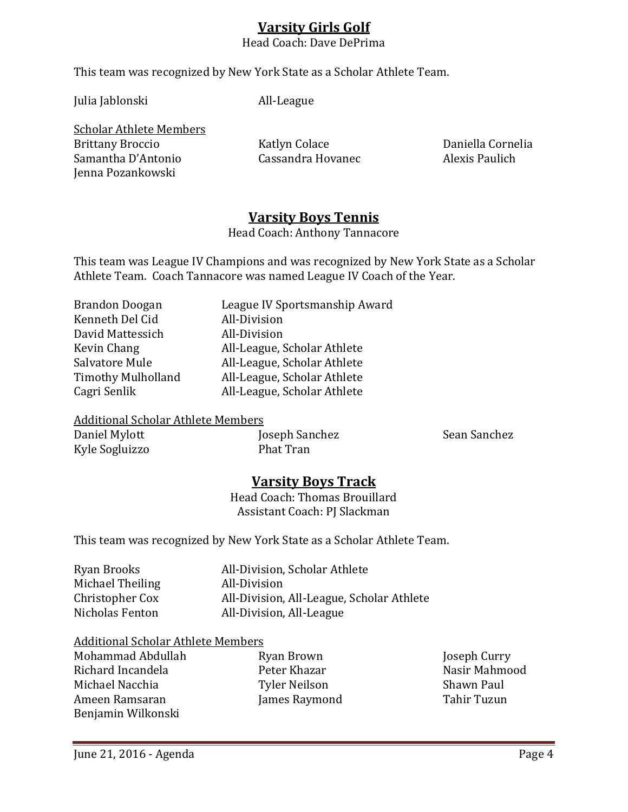# **Varsity Girls Golf**

Head Coach: Dave DePrima

This team was recognized by New York State as a Scholar Athlete Team.

Julia Jablonski All-League

Scholar Athlete Members Brittany Broccio Katlyn Colace Daniella Cornelia Samantha D'Antonio Jenna Pozankowski

# **Varsity Boys Tennis**

Head Coach: Anthony Tannacore

This team was League IV Champions and was recognized by New York State as a Scholar Athlete Team. Coach Tannacore was named League IV Coach of the Year.

| <b>Brandon Doogan</b>     | League IV Sportsmanship Award |
|---------------------------|-------------------------------|
| Kenneth Del Cid           | All-Division                  |
| David Mattessich          | All-Division                  |
| Kevin Chang               | All-League, Scholar Athlete   |
| Salvatore Mule            | All-League, Scholar Athlete   |
| <b>Timothy Mulholland</b> | All-League, Scholar Athlete   |
| Cagri Senlik              | All-League, Scholar Athlete   |
|                           |                               |

# Additional Scholar Athlete Members

Kyle Sogluizzo

Joseph Sanchez Sean Sanchez<br>Phat Tran

# **Varsity Boys Track**

Head Coach: Thomas Brouillard Assistant Coach: PJ Slackman

This team was recognized by New York State as a Scholar Athlete Team.

| All-Division, Scholar Athlete             |
|-------------------------------------------|
| All-Division                              |
| All-Division, All-League, Scholar Athlete |
| All-Division, All-League                  |
|                                           |

# Additional Scholar Athlete Members

Mohammad Abdullah Ryan Brown Joseph Curry Richard Incandela Peter Khazar Nasir Mahmood Ameen Ramsaran Benjamin Wilkonski

Michael Nacchia Tyler Neilson Shawn Paul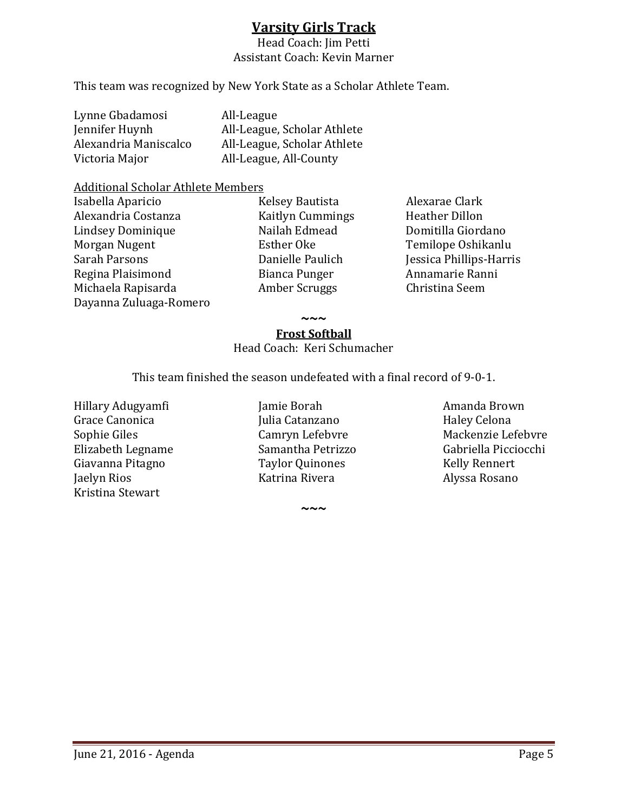# **Varsity Girls Track**

Head Coach: Jim Petti Assistant Coach: Kevin Marner

This team was recognized by New York State as a Scholar Athlete Team.

| Lynne Gbadamosi       | All-League                  |
|-----------------------|-----------------------------|
| Jennifer Huynh        | All-League, Scholar Athlete |
| Alexandria Maniscalco | All-League, Scholar Athlete |
| Victoria Major        | All-League, All-County      |
|                       |                             |

# Additional Scholar Athlete Members

- Isabella Aparicio Kelsey Bautista Alexarae Clark Lindsey Dominique Nailah Edm<br>Morgan Nugent Bisther Oke Morgan Nugent Esther Oke Temilope Oshikanlu Regina Plaisimond Bianca Punger Annamarie Ranni Michaela Rapisarda Dayanna Zuluaga-Romero
- 

Kaitlyn Cummings 1995 - Heather Dillon<br>Nailah Edmead 1997 - Domitilla Giordano Danielle Paulich *Jessica Phillips-Harris*<br>Bianca Punger Annamarie Ranni

**~~~**

## **Frost Softball**

Head Coach: Keri Schumacher

This team finished the season undefeated with a final record of 9-0-1.

Giavanna Pitagno<br>Iaelyn Rios **Taylor Quinone**<br>Katrina Rivera Kristina Stewart

Hillary Adugyamfi Jamie Borah Amanda Brown Elizabeth Legname Samantha Petrizzo Gabriella Picciocchi

**~~~**

Grace Canonica Julia Catanzano Haley Celona Sophie Giles Camryn Lefebvre Mackenzie Lefebvre Alyssa Rosano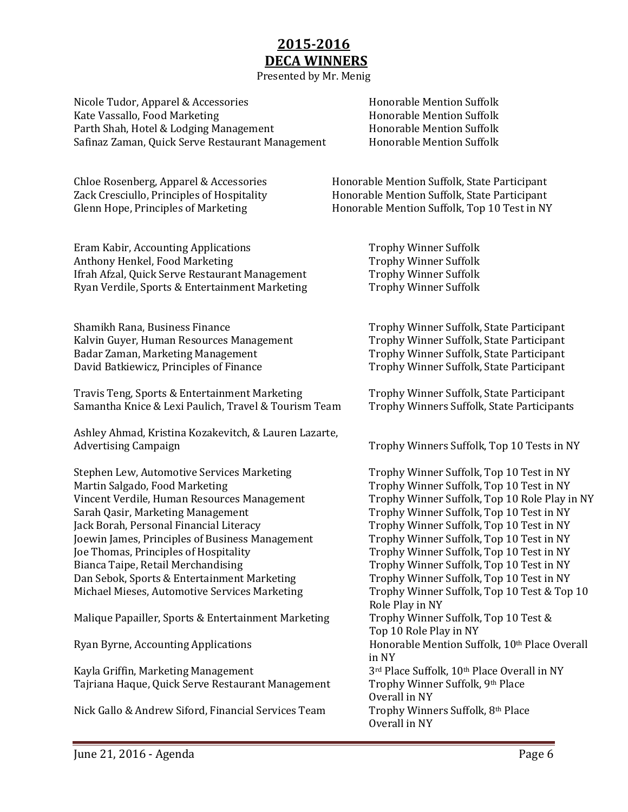# **2015-2016 DECA WINNERS**

Presented by Mr. Menig

Nicole Tudor, Apparel & Accessories Honorable Mention Suffolk Kate Vassallo, Food Marketing<br>
Parth Shah. Hotel & Lodging Management<br>
Honorable Mention Suffolk Parth Shah, Hotel & Lodging Management **Honorable Mention Suffolk**<br>Safinaz Zaman, Quick Serve Restaurant Management Honorable Mention Suffolk Safinaz Zaman, Quick Serve Restaurant Management

Eram Kabir, Accounting Applications Trophy Winner Suffolk Anthony Henkel, Food Marketing<br>
Ifrah Afzal, Quick Serve Restaurant Management<br>
Trophy Winner Suffolk Ifrah Afzal, Quick Serve Restaurant Management Trophy Winner Suffolk<br>Ryan Verdile, Sports & Entertainment Marketing Trophy Winner Suffolk Ryan Verdile, Sports & Entertainment Marketing

Shamikh Rana, Business Finance<br>
Kalvin Guver, Human Resources Management<br>
Trophy Winner Suffolk, State Participant Kalvin Guyer, Human Resources Management<br>Badar Zaman, Marketing Management Badar Zaman, Marketing Management Trophy Winner Suffolk, State Participant<br>
David Batkiewicz, Principles of Finance Trophy Winner Suffolk, State Participant

Travis Teng, Sports & Entertainment Marketing Trophy Winner Suffolk, State Participant<br>Samantha Knice & Lexi Paulich, Travel & Tourism Team Trophy Winners Suffolk, State Participants Samantha Knice & Lexi Paulich, Travel & Tourism Team

Ashley Ahmad, Kristina Kozakevitch, & Lauren Lazarte,

Stephen Lew, Automotive Services Marketing Trophy Winner Suffolk, Top 10 Test in NY<br>Martin Salgado, Food Marketing Trophy Winner Suffolk, Top 10 Test in NY Vincent Verdile, Human Resources Management<br>Sarah Qasir, Marketing Management Sarah Qasir, Marketing Management Trophy Winner Suffolk, Top 10 Test in NY<br>Trophy Winner Suffolk, Top 10 Test in NY Joewin James, Principles of Business Management<br>Joe Thomas, Principles of Hospitality Joe Thomas, Principles of Hospitality Trophy Winner Suffolk, Top 10 Test in NY<br>Bianca Taipe, Retail Merchandising Trophy Winner Suffolk, Top 10 Test in NY Dan Sebok, Sports & Entertainment Marketing Trophy Winner Suffolk, Top 10 Test in NY<br>Michael Mieses, Automotive Services Marketing Trophy Winner Suffolk, Top 10 Test & Top 10 Michael Mieses, Automotive Services Marketing

Malique Papailler, Sports & Entertainment Marketing

Kayla Griffin, Marketing Management 3<sup>rd</sup> Place Suffolk, 10<sup>th</sup> Place Overa<br>Tajriana Haque, Quick Serve Restaurant Management Trophy Winner Suffolk, 9<sup>th</sup> Place Tajriana Haque, Quick Serve Restaurant Management

Nick Gallo & Andrew Siford, Financial Services Team

Chloe Rosenberg, Apparel & Accessories Formation Suffolk, State Participant<br>Zack Cresciullo, Principles of Hospitality Honorable Mention Suffolk, State Participant Zack Cresciullo, Principles of Hospitality Honorable Mention Suffolk, State Participant<br>Glenn Hope, Principles of Marketing Honorable Mention Suffolk, Top 10 Test in NY Honorable Mention Suffolk, Top 10 Test in NY

Trophy Winner Suffolk, State Participant

Trophy Winners Suffolk, Top 10 Tests in NY

Trophy Winner Suffolk, Top 10 Test in NY<br>Trophy Winner Suffolk, Top 10 Role Play in NY Trophy Winner Suffolk, Top 10 Test in NY<br>Trophy Winner Suffolk, Top 10 Test in NY Trophy Winner Suffolk, Top 10 Test in NY<br>Trophy Winner Suffolk, Top 10 Test in NY Role Play in NY<br>Trophy Winner Suffolk, Top 10 Test & Top 10 Role Play in NY Ryan Byrne, Accounting Applications Honorable Mention Suffolk, 10<sup>th</sup> Place Overall in NY<br>3<sup>rd</sup> Place Suffolk, 10<sup>th</sup> Place Overall in NY Overall in NY<br>Trophy Winners Suffolk, 8<sup>th</sup> Place Overall in NY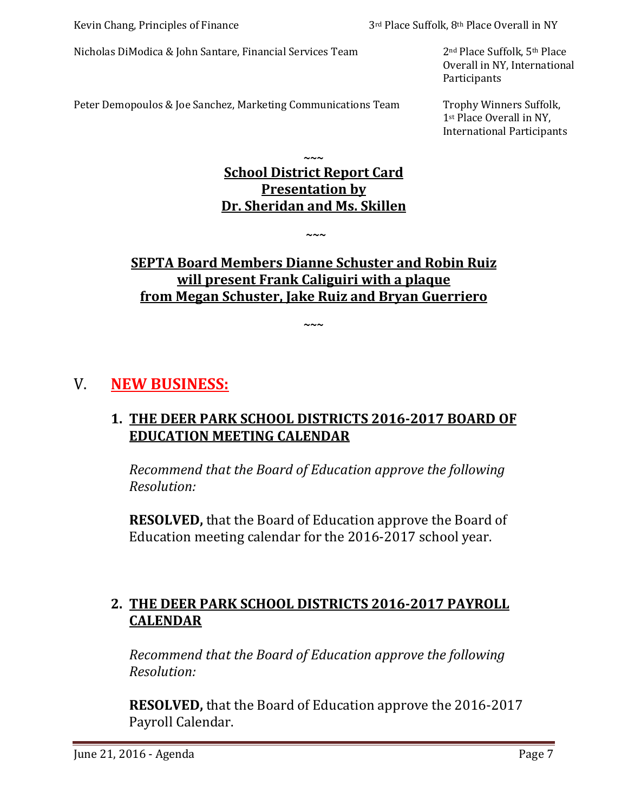Nicholas DiModica & John Santare, Financial Services Team 2<sup>nd</sup> Place Suffolk, 5<sup>th</sup> Place

Overall in NY, International Participants

Peter Demopoulos & Joe Sanchez, Marketing Communications Team Trophy Winners Suffolk,

1st Place Overall in NY, International Participants

# **~~~ School District Report Card Presentation by Dr. Sheridan and Ms. Skillen**

# **SEPTA Board Members Dianne Schuster and Robin Ruiz will present Frank Caliguiri with a plaque from Megan Schuster, Jake Ruiz and Bryan Guerriero**

**~~~**

**~~~**

# V. **NEW BUSINESS:**

# **1. THE DEER PARK SCHOOL DISTRICTS 2016-2017 BOARD OF EDUCATION MEETING CALENDAR**

*Recommend that the Board of Education approve the following Resolution:*

**RESOLVED,** that the Board of Education approve the Board of Education meeting calendar for the 2016-2017 school year.

# **2. THE DEER PARK SCHOOL DISTRICTS 2016-2017 PAYROLL CALENDAR**

*Recommend that the Board of Education approve the following Resolution:*

**RESOLVED,** that the Board of Education approve the 2016-2017 Payroll Calendar.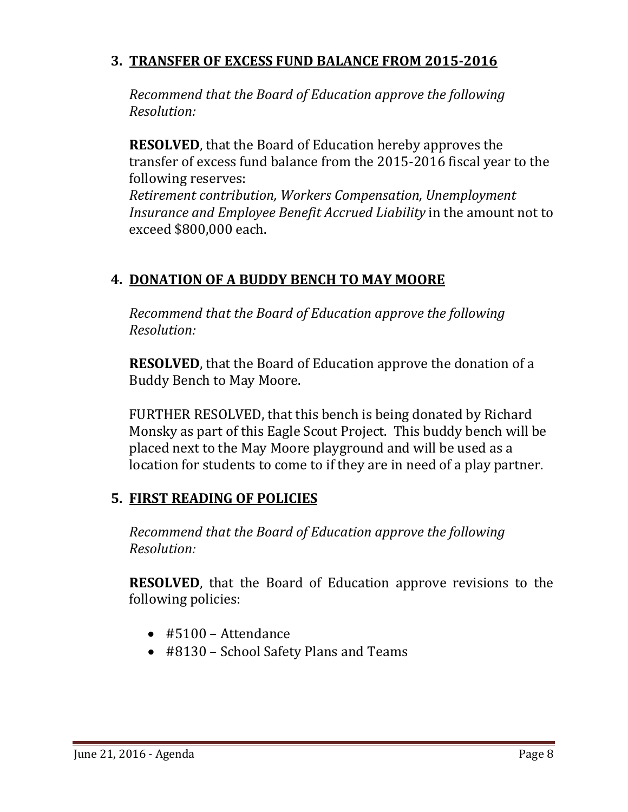# **3. TRANSFER OF EXCESS FUND BALANCE FROM 2015-2016**

*Recommend that the Board of Education approve the following Resolution:*

**RESOLVED**, that the Board of Education hereby approves the transfer of excess fund balance from the 2015-2016 fiscal year to the following reserves:

*Retirement contribution, Workers Compensation, Unemployment Insurance and Employee Benefit Accrued Liability* in the amount not to exceed \$800,000 each.

# **4. DONATION OF A BUDDY BENCH TO MAY MOORE**

*Recommend that the Board of Education approve the following Resolution:*

**RESOLVED**, that the Board of Education approve the donation of a Buddy Bench to May Moore.

FURTHER RESOLVED, that this bench is being donated by Richard Monsky as part of this Eagle Scout Project. This buddy bench will be placed next to the May Moore playground and will be used as a location for students to come to if they are in need of a play partner.

# **5. FIRST READING OF POLICIES**

*Recommend that the Board of Education approve the following Resolution:*

**RESOLVED**, that the Board of Education approve revisions to the following policies:

- #5100 Attendance
- #8130 School Safety Plans and Teams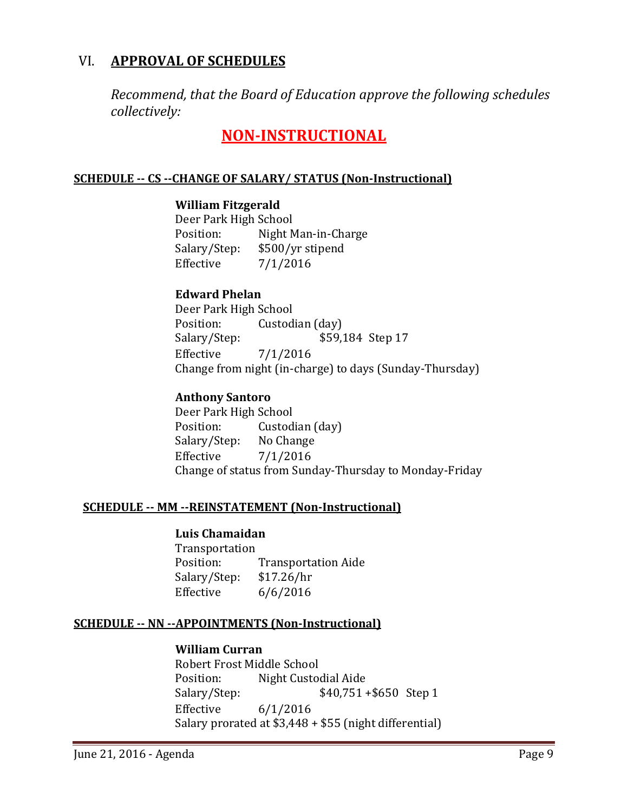# VI. **APPROVAL OF SCHEDULES**

*Recommend, that the Board of Education approve the following schedules collectively:*

# **NON-INSTRUCTIONAL**

## **SCHEDULE -- CS --CHANGE OF SALARY/ STATUS (Non-Instructional)**

## **William Fitzgerald**

Deer Park High School<br>Position: Night M Position: Night Man-in-Charge<br>Salary/Step: \$500/yr stipend Salary/Step: \$500/yr stipend<br>Effective 7/1/2016  $7/1/2016$ 

## **Edward Phelan**

Deer Park High School<br>Position: Custod Position: Custodian (day)<br>Salary/Step: \$59, \$59,184 Step 17 Effective 7/1/2016 Change from night (in-charge) to days (Sunday-Thursday)

## **Anthony Santoro**

Deer Park High School<br>Position: Custod Custodian (day)<br>No Change Salary/Step:<br>Effective  $7/1/2016$ Change of status from Sunday-Thursday to Monday-Friday

## **SCHEDULE -- MM --REINSTATEMENT (Non-Instructional)**

#### **Luis Chamaidan**

Transportation<br>Position: Transportation Aide<br>\$17.26/hr Salary/Step:<br>Effective  $6/6/2016$ 

#### **SCHEDULE -- NN --APPOINTMENTS (Non-Instructional)**

#### **William Curran**

Robert Frost Middle School<br>Position: Night Custoo Position: Night Custodial Aide<br>Salary/Step: \$40,751  $$40,751 + $650$  Step 1 Effective 6/1/2016 Salary prorated at \$3,448 + \$55 (night differential)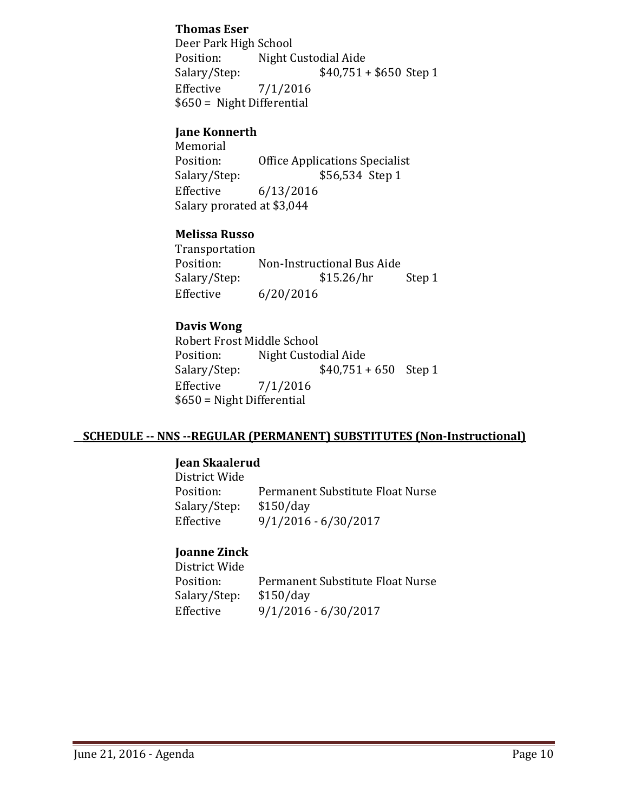## **Thomas Eser**

Deer Park High School<br>Position: Night C Position: Night Custodial Aide<br>Salary/Step: \$40,751 +  $$40,751 + $650$  Step 1 Effective 7/1/2016 \$650 = Night Differential

# **Jane Konnerth**

Memorial<br>Position: Position: Office Applications Specialist<br>Salary/Step: \$56,534 Step 1 \$56,534 Step 1 Effective 6/13/2016 Salary prorated at \$3,044

# **Melissa Russo**

Transportation<br>Position: Non-Instructional Bus Aide<br>\$15.26/hr Salary/Step: \$15.26/hr Step 1 Effective 6/20/2016

## **Davis Wong**

Robert Frost Middle School<br>Position: Night Custoo Position: Night Custodial Aide<br>Salary/Step: \$40,751 +  $$40,751 + 650$  Step 1 Effective 7/1/2016 \$650 = Night Differential

## **SCHEDULE -- NNS --REGULAR (PERMANENT) SUBSTITUTES (Non-Instructional)**

## **Jean Skaalerud**

District Wide Permanent Substitute Float Nurse<br>\$150/day Salary/Step:<br>Effective  $9/1/2016 - 6/30/2017$ 

# **Joanne Zinck**

District Wide Permanent Substitute Float Nurse<br>\$150/day Salary/Step:<br>Effective Effective 9/1/2016 - 6/30/2017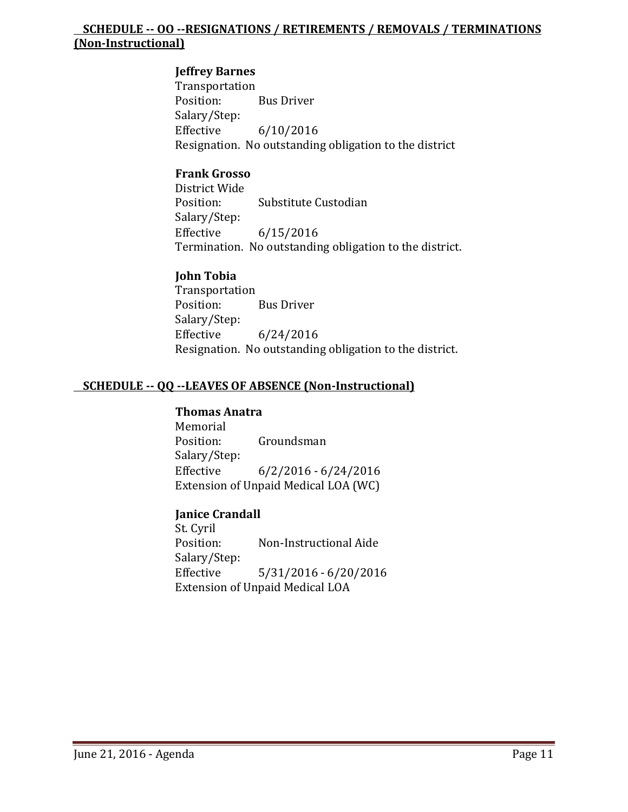# **SCHEDULE -- OO --RESIGNATIONS / RETIREMENTS / REMOVALS / TERMINATIONS (Non-Instructional)**

# **Jeffrey Barnes**

Transportation<br>Position: **Bus Driver** Salary/Step:  $6/10/2016$ Resignation. No outstanding obligation to the district

## **Frank Grosso**

District Wide Substitute Custodian Salary/Step:<br>Effective  $6/15/2016$ Termination. No outstanding obligation to the district.

# **John Tobia**

Transportation<br>Position: **Bus Driver** Salary/Step:<br>Effective  $6/24/2016$ Resignation. No outstanding obligation to the district.

# **SCHEDULE -- QQ --LEAVES OF ABSENCE (Non-Instructional)**

# **Thomas Anatra**

Memorial<br>Position: Groundsman Salary/Step:  $6/2/2016 - 6/24/2016$ Extension of Unpaid Medical LOA (WC)

# **Janice Crandall**

St. Cyril<br>Position: Non-Instructional Aide Salary/Step:  $5/31/2016 - 6/20/2016$ Extension of Unpaid Medical LOA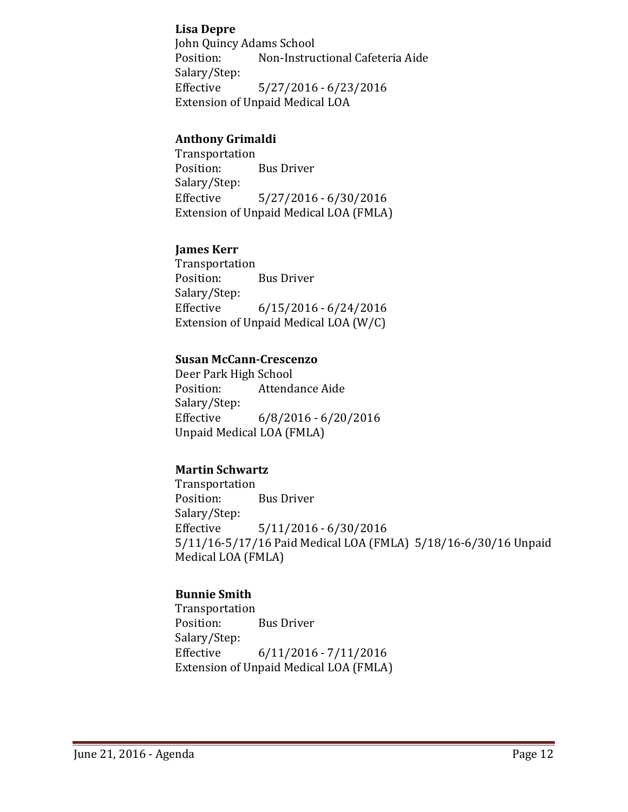# **Lisa Depre**

John Quincy Adams School<br>Position: Non-Instrue Non-Instructional Cafeteria Aide Salary/Step: Effective 5/27/2016 - 6/23/2016 Extension of Unpaid Medical LOA

# **Anthony Grimaldi**

Transportation<br>Position: **Bus Driver** Salary/Step:  $5/27/2016 - 6/30/2016$ Extension of Unpaid Medical LOA (FMLA)

# **James Kerr**

Transportation<br>Position: **Bus Driver** Salary/Step: Effective 6/15/2016 - 6/24/2016 Extension of Unpaid Medical LOA (W/C)

#### **Susan McCann-Crescenzo**

Deer Park High School<br>Position: Attenda Attendance Aide Salary/Step:<br>Effective  $6/8/2016 - 6/20/2016$ Unpaid Medical LOA (FMLA)

# **Martin Schwartz**

Transportation<br>Position: Bus Driver Salary/Step:<br>Effective  $5/11/2016 - 6/30/2016$ 5/11/16-5/17/16 Paid Medical LOA (FMLA) 5/18/16-6/30/16 Unpaid Medical LOA (FMLA)

# **Bunnie Smith**

Transportation<br>Position: **Bus Driver** Salary/Step:<br>Effective Effective 6/11/2016 - 7/11/2016 Extension of Unpaid Medical LOA (FMLA)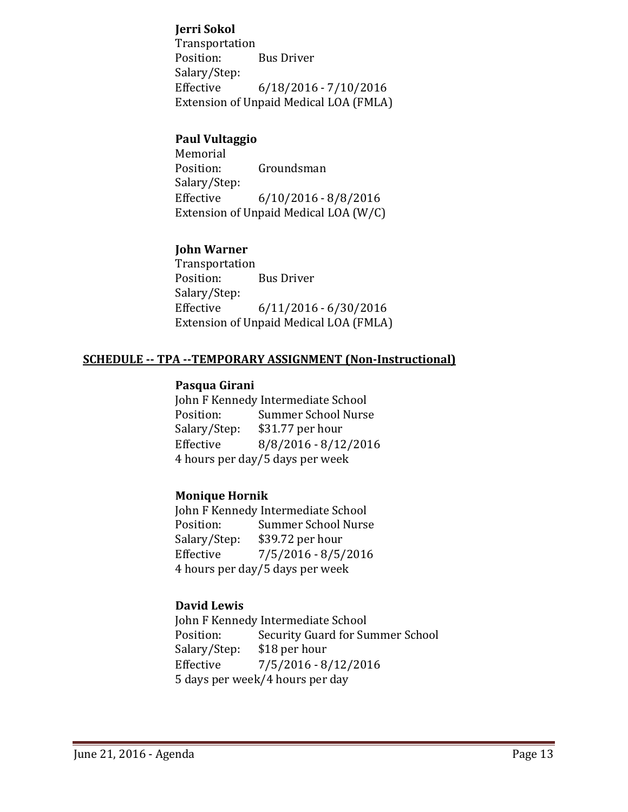# **Jerri Sokol**

Transportation<br>Position: **Bus Driver** Salary/Step: Effective 6/18/2016 - 7/10/2016 Extension of Unpaid Medical LOA (FMLA)

# **Paul Vultaggio**

Memorial<br>Position: Groundsman Salary/Step:  $6/10/2016 - 8/8/2016$ Extension of Unpaid Medical LOA (W/C)

# **John Warner**

Transportation<br>Position: **Bus Driver** Salary/Step: Effective 6/11/2016 - 6/30/2016 Extension of Unpaid Medical LOA (FMLA)

# **SCHEDULE -- TPA --TEMPORARY ASSIGNMENT (Non-Instructional)**

# **Pasqua Girani**

John F Kennedy Intermediate School<br>Position: Summer School Nurse Position: Summer School Nurse<br>Salary/Step: \$31.77 per hour Salary/Step: \$31.77 per hour<br>Effective 8/8/2016 - 8/12 Effective 8/8/2016 - 8/12/2016 4 hours per day/5 days per week

## **Monique Hornik**

John F Kennedy Intermediate School<br>Position: Summer School Nurse Position: Summer School Nurse<br>Salary/Step: \$39.72 per hour Salary/Step: \$39.72 per hour<br>Effective 7/5/2016 - 8/5/  $7/5/2016 - 8/5/2016$ 4 hours per day/5 days per week

# **David Lewis**

John F Kennedy Intermediate School<br>Position: Security Guard for Su Security Guard for Summer School<br>\$18 per hour Salary/Step: Effective 7/5/2016 - 8/12/2016 5 days per week/4 hours per day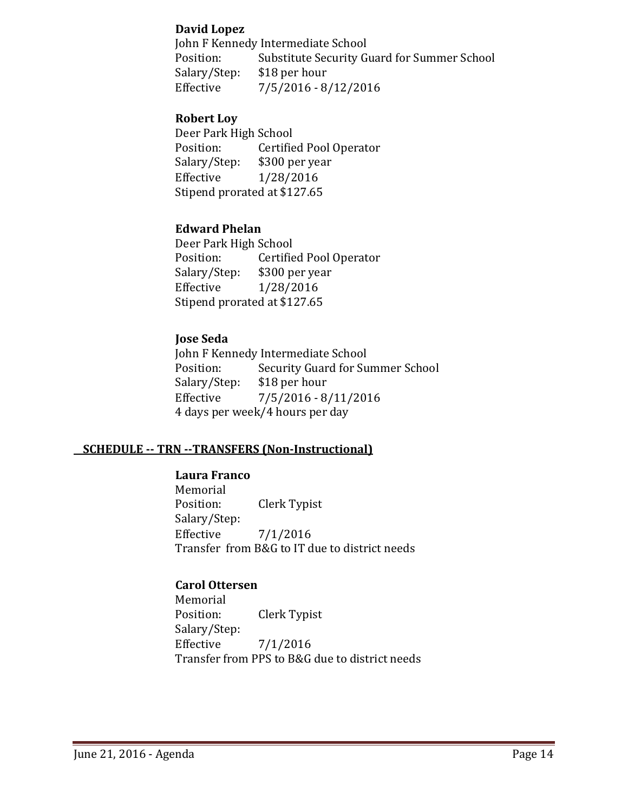# **David Lopez**

John F Kennedy Intermediate School<br>Position: Substitute Security G Position: Substitute Security Guard for Summer School<br>Salary/Step: \$18 per hour Salary/Step: \$18 per hour<br>Effective 7/5/2016 - 8,  $7/5/2016 - 8/12/2016$ 

## **Robert Loy**

Deer Park High School<br>Position: Certifie Position: Certified Pool Operator<br>Salary/Step: \$300 per year Salary/Step: \$300 per year<br>Effective 1/28/2016 Effective 1/28/2016 Stipend prorated at \$127.65

# **Edward Phelan**

Deer Park High School<br>Position: Certifie Position: Certified Pool Operator<br>Salary/Step: \$300 per year Salary/Step: \$300 per year<br>Effective 1/28/2016 Effective 1/28/2016 Stipend prorated at \$127.65

# **Jose Seda**

John F Kennedy Intermediate School<br>Position: Security Guard for Su Security Guard for Summer School<br>\$18 per hour Salary/Step:<br>Effective  $7/5/2016 - 8/11/2016$ 4 days per week/4 hours per day

# **SCHEDULE -- TRN --TRANSFERS (Non-Instructional)**

## **Laura Franco**

Memorial<br>Position: Clerk Typist Salary/Step: Effective 7/1/2016 Transfer from B&G to IT due to district needs

## **Carol Ottersen**

Memorial<br>Position: Clerk Typist Salary/Step:<br>Effective  $7/1/2016$ Transfer from PPS to B&G due to district needs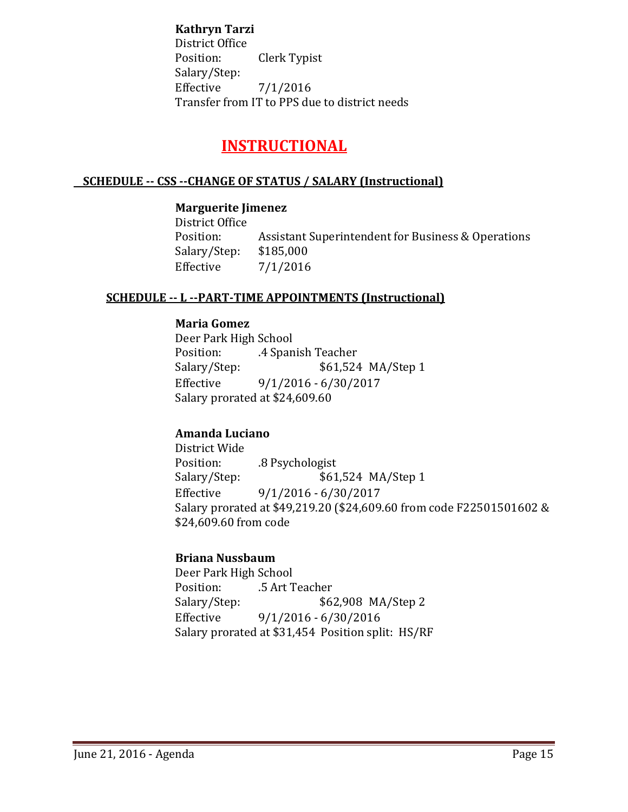**Kathryn Tarzi**

District Office Clerk Typist Salary/Step: Effective 7/1/2016 Transfer from IT to PPS due to district needs

# **INSTRUCTIONAL**

# **SCHEDULE -- CSS --CHANGE OF STATUS / SALARY (Instructional)**

# **Marguerite Jimenez**

District Office Assistant Superintendent for Business & Operations<br>\$185,000 Salary/Step:<br>Effective  $7/1/2016$ 

# **SCHEDULE -- L --PART-TIME APPOINTMENTS (Instructional)**

## **Maria Gomez**

Deer Park High School<br>Position: 4 Span Position: .4 Spanish Teacher<br>Salary/Step: \$61,524 \$61,524 MA/Step 1 Effective 9/1/2016 - 6/30/2017 Salary prorated at \$24,609.60

# **Amanda Luciano**

District Wide Position: .8 Psychologist<br>Salary/Step: \$61 \$61,524 MA/Step 1 Effective 9/1/2016 - 6/30/2017 Salary prorated at \$49,219.20 (\$24,609.60 from code F22501501602 & \$24,609.60 from code

# **Briana Nussbaum**

Deer Park High School Position: .5 Art Teacher<br>Salary/Step: \$6. \$62,908 MA/Step 2 Effective 9/1/2016 - 6/30/2016 Salary prorated at \$31,454 Position split: HS/RF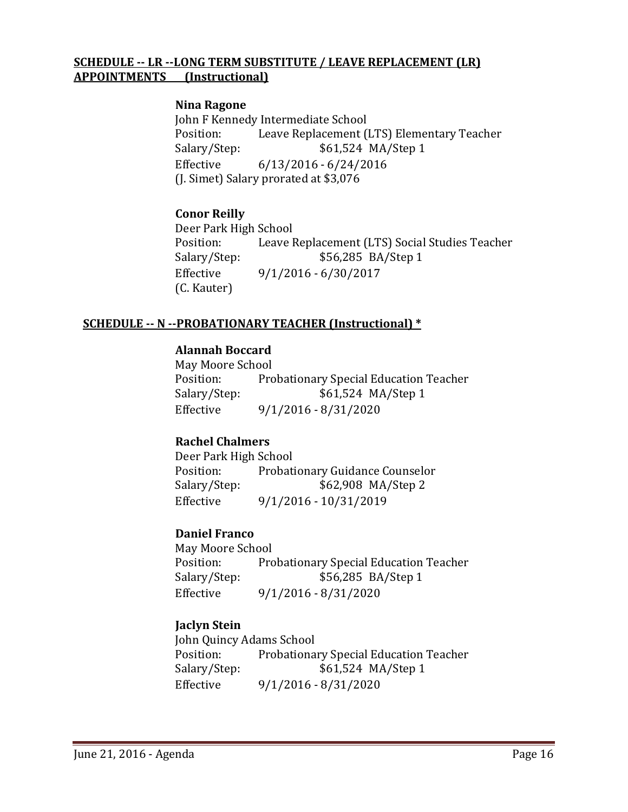## **SCHEDULE -- LR --LONG TERM SUBSTITUTE / LEAVE REPLACEMENT (LR) APPOINTMENTS (Instructional)**

#### **Nina Ragone**

John F Kennedy Intermediate School<br>Position: Leave Replacement ( Position: Leave Replacement (LTS) Elementary Teacher<br>Salary/Step: \$61,524 MA/Step 1 Salary/Step: \$61,524 MA/Step 1<br>Effective 6/13/2016 - 6/24/2016  $6/13/2016 - 6/24/2016$ (J. Simet) Salary prorated at \$3,076

# **Conor Reilly**

Deer Park High School Position: Leave Replacement (LTS) Social Studies Teacher<br>Salary/Step: \$56,285 BA/Step 1 \$56,285 BA/Step 1 Effective 9/1/2016 - 6/30/2017 (C. Kauter)

## **SCHEDULE -- N --PROBATIONARY TEACHER (Instructional) \***

# **Alannah Boccard**

May Moore School<br>Position: Pro Position: Probationary Special Education Teacher<br>Salary/Step: \$61,524 MA/Step 1 \$61,524 MA/Step 1 Effective 9/1/2016 - 8/31/2020

# **Rachel Chalmers**

Deer Park High School<br>Position: Probati Position: Probationary Guidance Counselor<br>Salary/Step: \$62,908 MA/Step 2 \$62,908 MA/Step 2 Effective 9/1/2016 - 10/31/2019

## **Daniel Franco**

May Moore School<br>Position: Pro Position: Probationary Special Education Teacher<br>Salary/Step: \$56,285 BA/Step 1 \$56,285 BA/Step 1 Effective 9/1/2016 - 8/31/2020

# **Jaclyn Stein**

John Quincy Adams School Position: Probationary Special Education Teacher<br>Salary/Step: \$61,524 MA/Step 1 Salary/Step: \$61,524 MA/Step 1<br>Effective 9/1/2016 - 8/31/2020  $9/1/2016 - 8/31/2020$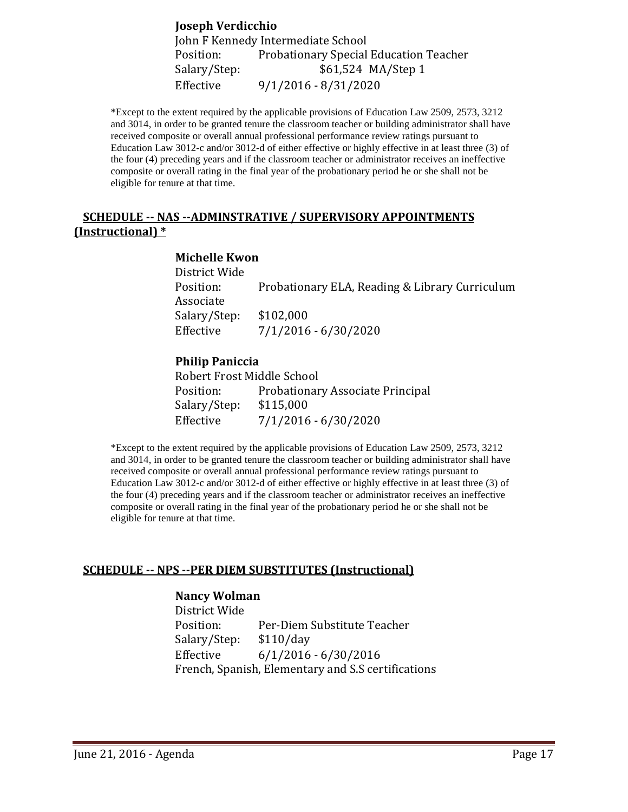**Joseph Verdicchio** John F Kennedy Intermediate School Position: Probationary Special Education Teacher<br>Salary/Step: \$61,524 MA/Step 1 Salary/Step: \$61,524 MA/Step 1<br>Effective 9/1/2016 - 8/31/2020 Effective 9/1/2016 - 8/31/2020

\*Except to the extent required by the applicable provisions of Education Law 2509, 2573, 3212 and 3014, in order to be granted tenure the classroom teacher or building administrator shall have received composite or overall annual professional performance review ratings pursuant to Education Law 3012-c and/or 3012-d of either effective or highly effective in at least three (3) of the four (4) preceding years and if the classroom teacher or administrator receives an ineffective composite or overall rating in the final year of the probationary period he or she shall not be eligible for tenure at that time.

## **SCHEDULE -- NAS --ADMINSTRATIVE / SUPERVISORY APPOINTMENTS (Instructional) \***

#### **Michelle Kwon**

| District Wide |                                                |
|---------------|------------------------------------------------|
| Position:     | Probationary ELA, Reading & Library Curriculum |
| Associate     |                                                |
| Salary/Step:  | \$102,000                                      |
| Effective     | $7/1/2016 - 6/30/2020$                         |

#### **Philip Paniccia**

| Robert Frost Middle School |                                  |
|----------------------------|----------------------------------|
| Position:                  | Probationary Associate Principal |
| Salary/Step:               | \$115,000                        |
| Effective                  | $7/1/2016 - 6/30/2020$           |

\*Except to the extent required by the applicable provisions of Education Law 2509, 2573, 3212 and 3014, in order to be granted tenure the classroom teacher or building administrator shall have received composite or overall annual professional performance review ratings pursuant to Education Law 3012-c and/or 3012-d of either effective or highly effective in at least three (3) of the four (4) preceding years and if the classroom teacher or administrator receives an ineffective composite or overall rating in the final year of the probationary period he or she shall not be eligible for tenure at that time.

## **SCHEDULE -- NPS --PER DIEM SUBSTITUTES (Instructional)**

#### **Nancy Wolman**

District Wide Per-Diem Substitute Teacher<br>\$110/day Salary/Step:<br>Effective  $6/1/2016 - 6/30/2016$ French, Spanish, Elementary and S.S certifications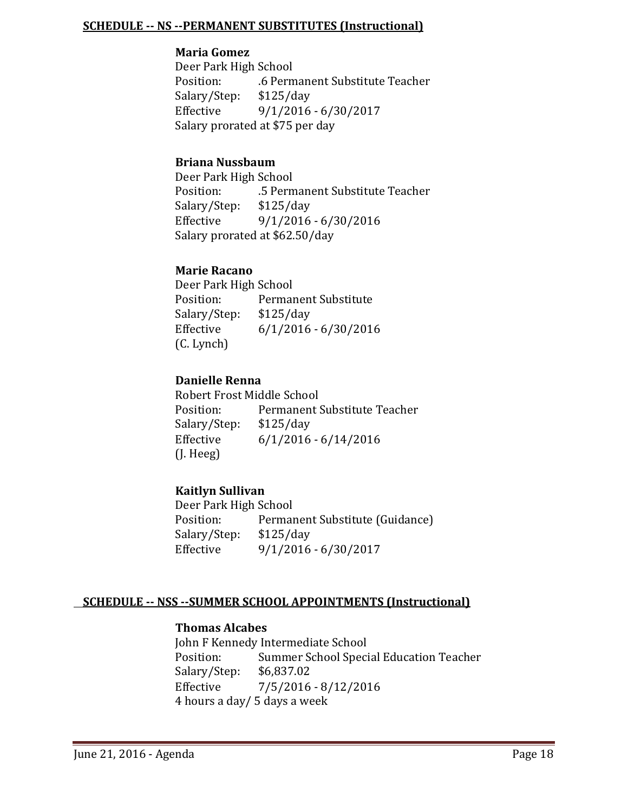#### **SCHEDULE -- NS --PERMANENT SUBSTITUTES (Instructional)**

#### **Maria Gomez**

Deer Park High School .6 Permanent Substitute Teacher<br>\$125/day Salary/Step:<br>Effective Effective 9/1/2016 - 6/30/2017 Salary prorated at \$75 per day

## **Briana Nussbaum**

Deer Park High School .5 Permanent Substitute Teacher<br>\$125/day Salary/Step:<br>Effective  $9/1/2016 - 6/30/2016$ Salary prorated at \$62.50/day

## **Marie Racano**

Deer Park High School<br>Position: Permai Permanent Substitute<br>\$125/day Salary/Step:<br>Effective  $6/1/2016 - 6/30/2016$ (C. Lynch)

# **Danielle Renna**

Robert Frost Middle School<br>Position: Permanent! Permanent Substitute Teacher<br>\$125/day Salary/Step:<br>Effective  $6/1/2016 - 6/14/2016$ (J. Heeg)

# **Kaitlyn Sullivan**

Deer Park High School<br>Position: Permai Permanent Substitute (Guidance)<br>\$125/day Salary/Step:<br>Effective Effective 9/1/2016 - 6/30/2017

## **SCHEDULE -- NSS --SUMMER SCHOOL APPOINTMENTS (Instructional)**

## **Thomas Alcabes**

John F Kennedy Intermediate School<br>Position: Summer School Speci Summer School Special Education Teacher<br>\$6,837.02 Salary/Step:<br>Effective  $7/5/2016 - 8/12/2016$ 4 hours a day/ 5 days a week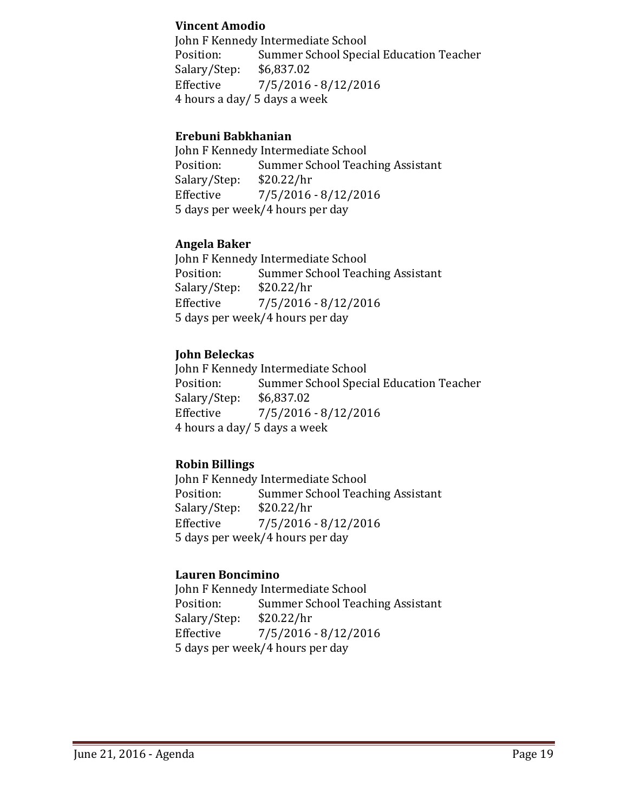## **Vincent Amodio**

John F Kennedy Intermediate School Position: Summer School Special Education Teacher<br>Salary/Step: \$6,837.02 Salary/Step:<br>Effective  $7/5/2016 - 8/12/2016$ 4 hours a day/ 5 days a week

# **Erebuni Babkhanian**

John F Kennedy Intermediate School<br>Position: Summer School Teacl Summer School Teaching Assistant<br>\$20.22/hr Salary/Step:<br>Effective Effective 7/5/2016 - 8/12/2016 5 days per week/4 hours per day

# **Angela Baker**

John F Kennedy Intermediate School<br>Position: Summer School Teac Summer School Teaching Assistant<br>\$20.22/hr Salary/Step:<br>Effective  $7/5/2016 - 8/12/2016$ 5 days per week/4 hours per day

# **John Beleckas**

John F Kennedy Intermediate School<br>Position: Summer School Speci Summer School Special Education Teacher<br>\$6,837.02 Salary/Step:<br>Effective  $7/5/2016 - 8/12/2016$ 4 hours a day/ 5 days a week

## **Robin Billings**

John F Kennedy Intermediate School<br>Position: Summer School Teac Summer School Teaching Assistant<br>\$20.22/hr Salary/Step: Effective 7/5/2016 - 8/12/2016 5 days per week/4 hours per day

# **Lauren Boncimino**

John F Kennedy Intermediate School<br>Position: Summer School Teac Summer School Teaching Assistant<br>\$20.22/hr Salary/Step:<br>Effective  $7/5/2016 - 8/12/2016$ 5 days per week/4 hours per day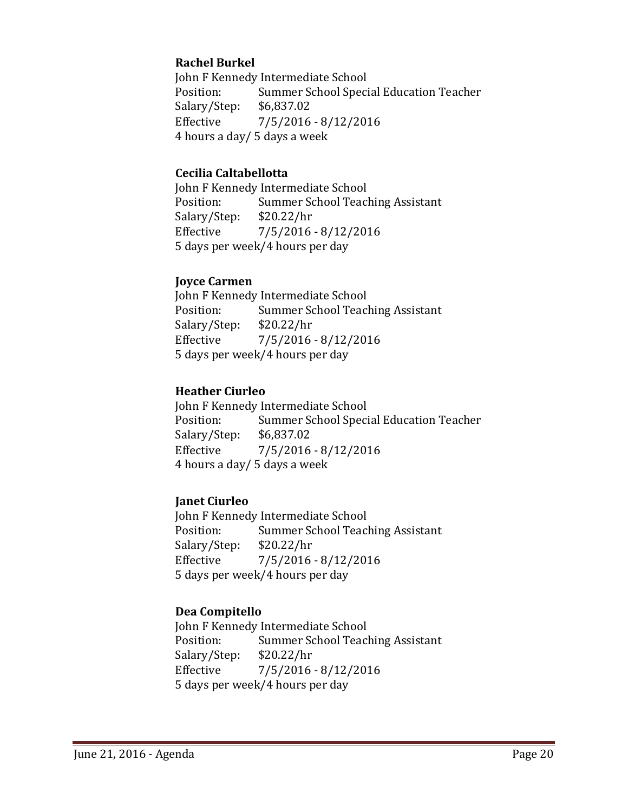# **Rachel Burkel**

John F Kennedy Intermediate School<br>Position: Summer School Speci Summer School Special Education Teacher<br>\$6,837.02 Salary/Step:<br>Effective  $7/5/2016 - 8/12/2016$ 4 hours a day/ 5 days a week

## **Cecilia Caltabellotta**

John F Kennedy Intermediate School<br>Position: Summer School Teac Summer School Teaching Assistant<br>\$20.22/hr Salary/Step:<br>Effective  $7/5/2016 - 8/12/2016$ 5 days per week/4 hours per day

## **Joyce Carmen**

John F Kennedy Intermediate School<br>Position: Summer School Teac Summer School Teaching Assistant<br>\$20.22/hr Salary/Step:<br>Effective  $7/5/2016 - 8/12/2016$ 5 days per week/4 hours per day

# **Heather Ciurleo**

John F Kennedy Intermediate School<br>Position: Summer School Speci Summer School Special Education Teacher<br>\$6,837.02 Salary/Step: Effective 7/5/2016 - 8/12/2016 4 hours a day/ 5 days a week

# **Janet Ciurleo**

John F Kennedy Intermediate School<br>Position: Summer School Teac Summer School Teaching Assistant<br>\$20.22/hr Salary/Step:<br>Effective  $7/5/2016 - 8/12/2016$ 5 days per week/4 hours per day

# **Dea Compitello**

John F Kennedy Intermediate School<br>Position: Summer School Teac Summer School Teaching Assistant<br>\$20.22/hr Salary/Step:<br>Effective Effective 7/5/2016 - 8/12/2016 5 days per week/4 hours per day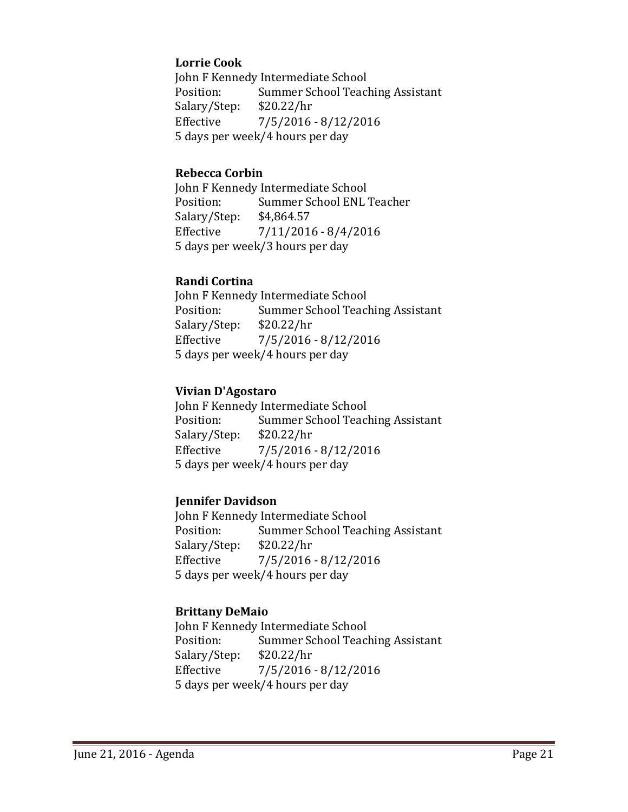# **Lorrie Cook**

John F Kennedy Intermediate School<br>Position: Summer School Teac Summer School Teaching Assistant<br>\$20.22/hr Salary/Step:<br>Effective  $7/5/2016 - 8/12/2016$ 5 days per week/4 hours per day

#### **Rebecca Corbin**

John F Kennedy Intermediate School<br>Position: Summer School ENL Summer School ENL Teacher<br>\$4,864.57 Salary/Step:<br>Effective  $7/11/2016 - 8/4/2016$ 5 days per week/3 hours per day

## **Randi Cortina**

John F Kennedy Intermediate School<br>Position: Summer School Teacl Summer School Teaching Assistant<br>\$20.22/hr Salary/Step:<br>Effective  $7/5/2016 - 8/12/2016$ 5 days per week/4 hours per day

## **Vivian D'Agostaro**

John F Kennedy Intermediate School<br>Position: Summer School Teac Summer School Teaching Assistant<br>\$20.22/hr Salary/Step: Effective 7/5/2016 - 8/12/2016 5 days per week/4 hours per day

## **Jennifer Davidson**

John F Kennedy Intermediate School<br>Position: Summer School Teac Summer School Teaching Assistant<br>\$20.22/hr Salary/Step:<br>Effective  $7/5/2016 - 8/12/2016$ 5 days per week/4 hours per day

## **Brittany DeMaio**

John F Kennedy Intermediate School<br>Position: Summer School Teacl Summer School Teaching Assistant<br>\$20.22/hr Salary/Step:<br>Effective  $7/5/2016 - 8/12/2016$ 5 days per week/4 hours per day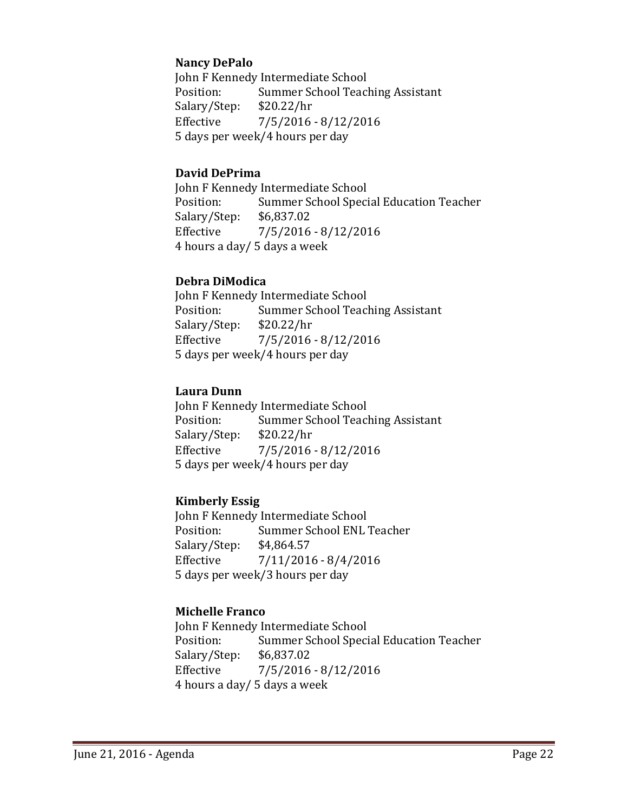# **Nancy DePalo**

John F Kennedy Intermediate School<br>Position: Summer School Teacl Summer School Teaching Assistant<br>\$20.22/hr Salary/Step:<br>Effective  $7/5/2016 - 8/12/2016$ 5 days per week/4 hours per day

## **David DePrima**

John F Kennedy Intermediate School<br>Position: Summer School Speci Summer School Special Education Teacher<br>\$6,837.02 Salary/Step:<br>Effective  $7/5/2016 - 8/12/2016$ 4 hours a day/ 5 days a week

# **Debra DiModica**

John F Kennedy Intermediate School<br>Position: Summer School Teacl Summer School Teaching Assistant<br>\$20.22/hr Salary/Step:<br>Effective Effective 7/5/2016 - 8/12/2016 5 days per week/4 hours per day

# **Laura Dunn**

John F Kennedy Intermediate School<br>Position: Summer School Teac Summer School Teaching Assistant<br>\$20.22/hr Salary/Step: Effective 7/5/2016 - 8/12/2016 5 days per week/4 hours per day

# **Kimberly Essig**

John F Kennedy Intermediate School<br>Position: Summer School ENL Summer School ENL Teacher<br>\$4,864.57 Salary/Step:<br>Effective  $7/11/2016 - 8/4/2016$ 5 days per week/3 hours per day

# **Michelle Franco**

John F Kennedy Intermediate School<br>Position: Summer School Speci Summer School Special Education Teacher<br>\$6,837.02 Salary/Step:<br>Effective  $7/5/2016 - 8/12/2016$ 4 hours a day/ 5 days a week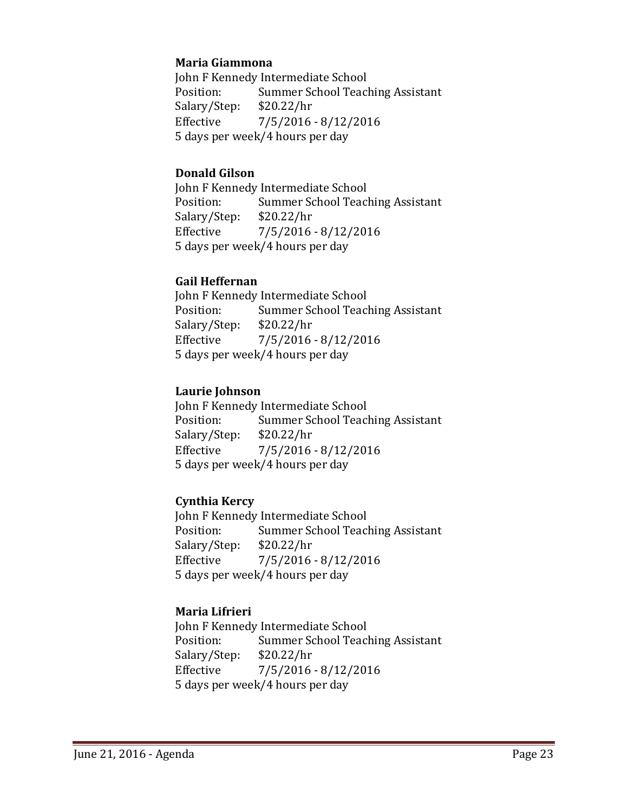## **Maria Giammona**

John F Kennedy Intermediate School<br>Position: Summer School Teacl Summer School Teaching Assistant<br>\$20.22/hr Salary/Step:<br>Effective  $7/5/2016 - 8/12/2016$ 5 days per week/4 hours per day

## **Donald Gilson**

John F Kennedy Intermediate School<br>Position: Summer School Teac Summer School Teaching Assistant<br>\$20.22/hr Salary/Step:<br>Effective  $7/5/2016 - 8/12/2016$ 5 days per week/4 hours per day

# **Gail Heffernan**

John F Kennedy Intermediate School<br>Position: Summer School Teacl Summer School Teaching Assistant<br>\$20.22/hr Salary/Step:<br>Effective Effective 7/5/2016 - 8/12/2016 5 days per week/4 hours per day

# **Laurie Johnson**

John F Kennedy Intermediate School<br>Position: Summer School Teac Summer School Teaching Assistant<br>\$20.22/hr Salary/Step: Effective 7/5/2016 - 8/12/2016 5 days per week/4 hours per day

# **Cynthia Kercy**

John F Kennedy Intermediate School<br>Position: Summer School Teac Summer School Teaching Assistant<br>\$20.22/hr Salary/Step:<br>Effective  $7/5/2016 - 8/12/2016$ 5 days per week/4 hours per day

# **Maria Lifrieri**

John F Kennedy Intermediate School<br>Position: Summer School Teacl Summer School Teaching Assistant<br>\$20.22/hr Salary/Step:<br>Effective Effective 7/5/2016 - 8/12/2016 5 days per week/4 hours per day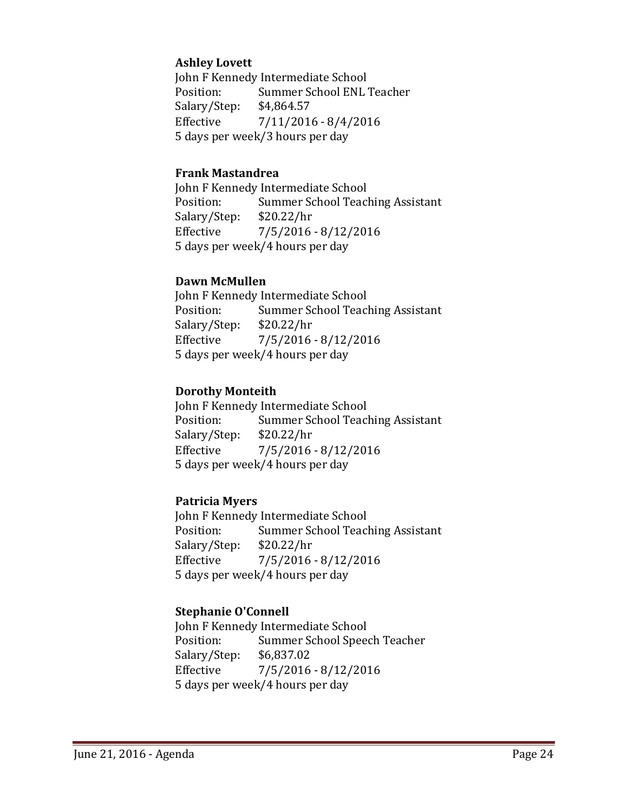# **Ashley Lovett**

John F Kennedy Intermediate School<br>Position: Summer School ENL Summer School ENL Teacher<br>\$4,864.57 Salary/Step:<br>Effective  $7/11/2016 - 8/4/2016$ 5 days per week/3 hours per day

#### **Frank Mastandrea**

John F Kennedy Intermediate School<br>Position: Summer School Teac Summer School Teaching Assistant<br>\$20.22/hr Salary/Step:<br>Effective  $7/5/2016 - 8/12/2016$ 5 days per week/4 hours per day

#### **Dawn McMullen**

John F Kennedy Intermediate School<br>Position: Summer School Teacl Summer School Teaching Assistant<br>\$20.22/hr Salary/Step:<br>Effective  $7/5/2016 - 8/12/2016$ 5 days per week/4 hours per day

## **Dorothy Monteith**

John F Kennedy Intermediate School<br>Position: Summer School Teac Summer School Teaching Assistant<br>\$20.22/hr Salary/Step: Effective 7/5/2016 - 8/12/2016 5 days per week/4 hours per day

## **Patricia Myers**

John F Kennedy Intermediate School<br>Position: Summer School Teac Summer School Teaching Assistant<br>\$20.22/hr Salary/Step:<br>Effective  $7/5/2016 - 8/12/2016$ 5 days per week/4 hours per day

## **Stephanie O'Connell**

John F Kennedy Intermediate School<br>Position: Summer School Speed Summer School Speech Teacher<br>\$6,837.02 Salary/Step:<br>Effective  $7/5/2016 - 8/12/2016$ 5 days per week/4 hours per day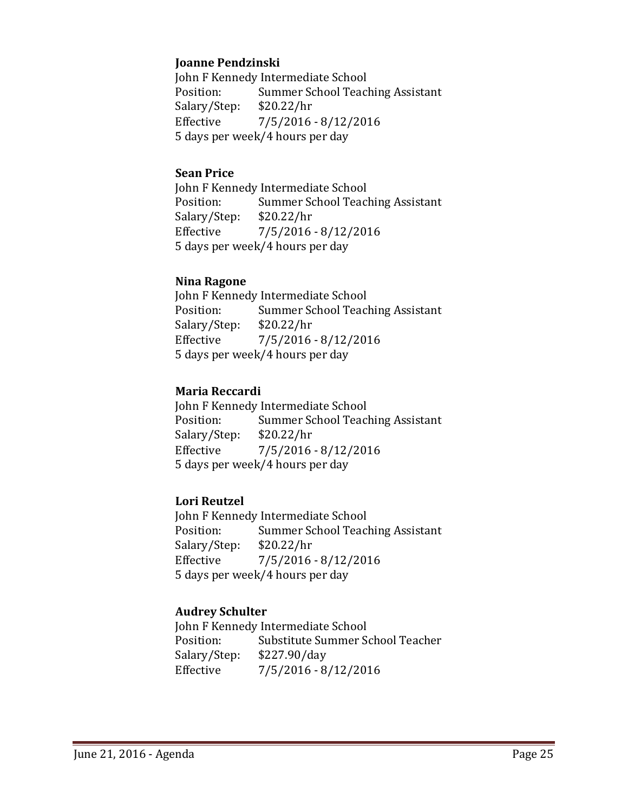## **Joanne Pendzinski**

John F Kennedy Intermediate School<br>Position: Summer School Teac Summer School Teaching Assistant<br>\$20.22/hr Salary/Step:<br>Effective  $7/5/2016 - 8/12/2016$ 5 days per week/4 hours per day

## **Sean Price**

John F Kennedy Intermediate School<br>Position: Summer School Teac Summer School Teaching Assistant<br>\$20.22/hr Salary/Step:<br>Effective  $7/5/2016 - 8/12/2016$ 5 days per week/4 hours per day

#### **Nina Ragone**

John F Kennedy Intermediate School<br>Position: Summer School Teac Summer School Teaching Assistant<br>\$20.22/hr Salary/Step:<br>Effective Effective 7/5/2016 - 8/12/2016 5 days per week/4 hours per day

## **Maria Reccardi**

John F Kennedy Intermediate School<br>Position: Summer School Teac Summer School Teaching Assistant<br>\$20.22/hr Salary/Step: Effective 7/5/2016 - 8/12/2016 5 days per week/4 hours per day

# **Lori Reutzel**

John F Kennedy Intermediate School<br>Position: Summer School Teac Summer School Teaching Assistant<br>\$20.22/hr Salary/Step:<br>Effective Effective 7/5/2016 - 8/12/2016 5 days per week/4 hours per day

# **Audrey Schulter**

John F Kennedy Intermediate School<br>Position: Substitute Summer So Substitute Summer School Teacher<br>\$227.90/day Salary/Step:<br>Effective  $7/5/2016 - 8/12/2016$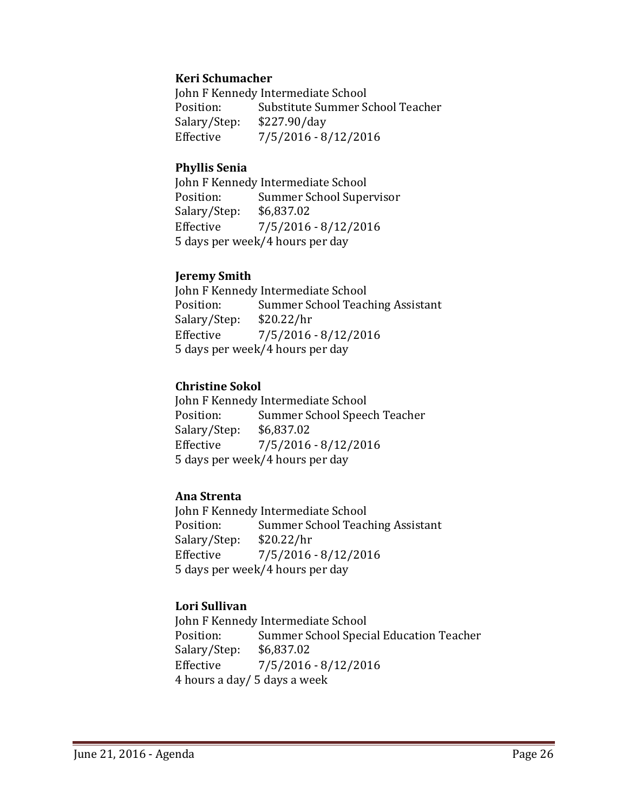## **Keri Schumacher**

John F Kennedy Intermediate School<br>Position: Substitute Summer S Substitute Summer School Teacher Salary/Step: \$227.90/day Effective 7/5/2016 - 8/12/2016

#### **Phyllis Senia**

John F Kennedy Intermediate School<br>Position: Summer School Supe Summer School Supervisor<br>\$6,837.02 Salary/Step:<br>Effective  $7/5/2016 - 8/12/2016$ 5 days per week/4 hours per day

#### **Jeremy Smith**

John F Kennedy Intermediate School<br>Position: Summer School Teac Summer School Teaching Assistant<br>\$20.22/hr Salary/Step: Effective 7/5/2016 - 8/12/2016 5 days per week/4 hours per day

# **Christine Sokol**

John F Kennedy Intermediate School<br>Position: Summer School Spee Summer School Speech Teacher<br>\$6.837.02 Salary/Step:<br>Effective  $7/5/2016 - 8/12/2016$ 5 days per week/4 hours per day

## **Ana Strenta**

John F Kennedy Intermediate School<br>Position: Summer School Teacl Summer School Teaching Assistant<br>\$20.22/hr Salary/Step:<br>Effective  $7/5/2016 - 8/12/2016$ 5 days per week/4 hours per day

## **Lori Sullivan**

John F Kennedy Intermediate School Position: Summer School Special Education Teacher<br>Salary/Step: \$6,837.02 Salary/Step:<br>Effective  $7/5/2016 - 8/12/2016$ 4 hours a day/ 5 days a week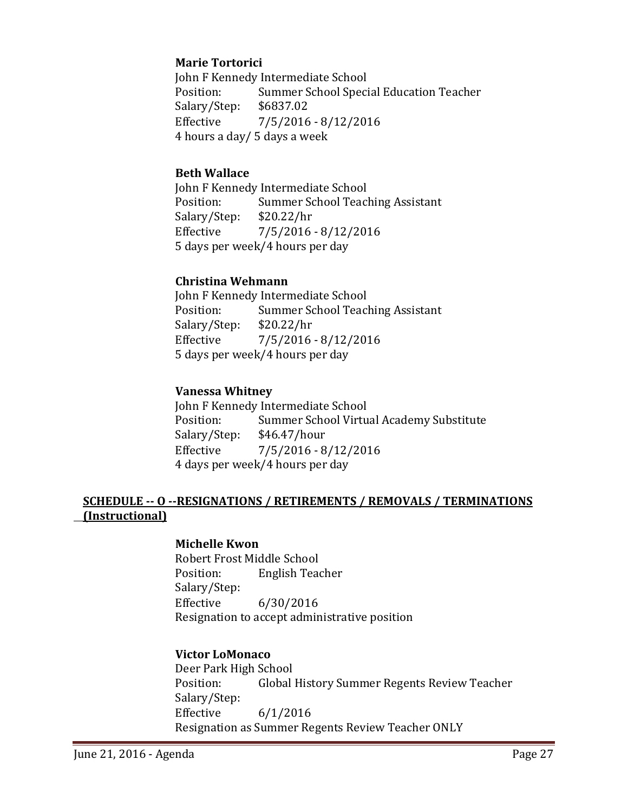# **Marie Tortorici**

John F Kennedy Intermediate School<br>Position: Summer School Speci Summer School Special Education Teacher<br>\$6837.02 Salary/Step:<br>Effective Effective 7/5/2016 - 8/12/2016 4 hours a day/ 5 days a week

## **Beth Wallace**

John F Kennedy Intermediate School<br>Position: Summer School Teac Summer School Teaching Assistant<br>\$20.22/hr Salary/Step:<br>Effective  $7/5/2016 - 8/12/2016$ 5 days per week/4 hours per day

# **Christina Wehmann**

John F Kennedy Intermediate School<br>Position: Summer School Teacl Summer School Teaching Assistant<br>\$20.22/hr Salary/Step: Effective 7/5/2016 - 8/12/2016 5 days per week/4 hours per day

# **Vanessa Whitney**

John F Kennedy Intermediate School<br>Position: Summer School Virtu Summer School Virtual Academy Substitute<br>\$46.47/hour Salary/Step: Effective 7/5/2016 - 8/12/2016 4 days per week/4 hours per day

# **SCHEDULE -- O --RESIGNATIONS / RETIREMENTS / REMOVALS / TERMINATIONS (Instructional)**

## **Michelle Kwon**

Robert Frost Middle School<br>Position: English Tea English Teacher Salary/Step:<br>Effective Effective 6/30/2016 Resignation to accept administrative position

## **Victor LoMonaco**

Deer Park High School Global History Summer Regents Review Teacher Salary/Step: Effective 6/1/2016 Resignation as Summer Regents Review Teacher ONLY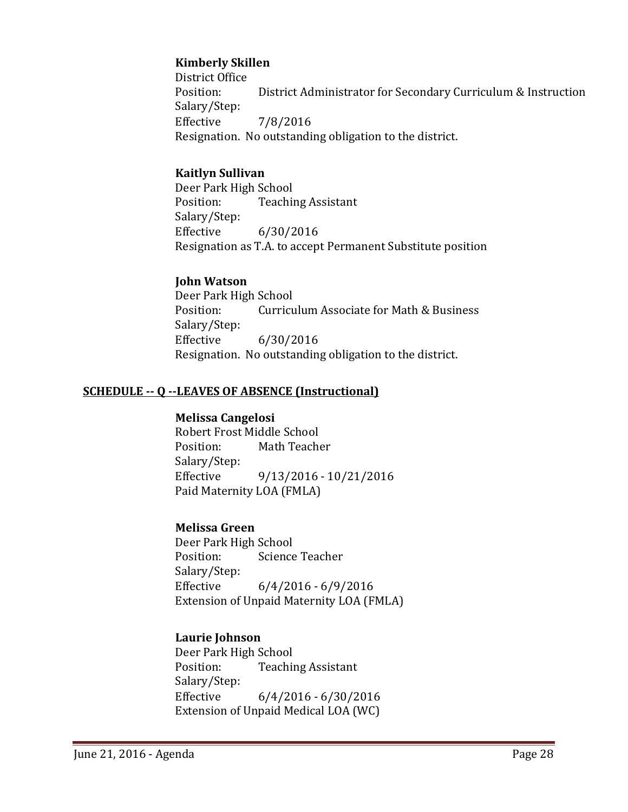# **Kimberly Skillen**

District Office<br>Position: District Administrator for Secondary Curriculum & Instruction Salary/Step:<br>Effective Effective 7/8/2016 Resignation. No outstanding obligation to the district.

## **Kaitlyn Sullivan**

Deer Park High School<br>Position: Teachii **Teaching Assistant** Salary/Step:<br>Effective Effective 6/30/2016 Resignation as T.A. to accept Permanent Substitute position

# **John Watson**

Deer Park High School<br>Position: Curricu Curriculum Associate for Math & Business Salary/Step:<br>Effective  $6/30/2016$ Resignation. No outstanding obligation to the district.

# **SCHEDULE -- Q --LEAVES OF ABSENCE (Instructional)**

## **Melissa Cangelosi**

Robert Frost Middle School<br>Position: Math Teache Math Teacher Salary/Step: Effective 9/13/2016 - 10/21/2016 Paid Maternity LOA (FMLA)

## **Melissa Green**

Deer Park High School<br>Position: Science **Science Teacher** Salary/Step:  $6/4/2016 - 6/9/2016$ Extension of Unpaid Maternity LOA (FMLA)

# **Laurie Johnson**

Deer Park High School<br>Position: Teachii **Teaching Assistant** Salary/Step:<br>Effective  $6/4/2016 - 6/30/2016$ Extension of Unpaid Medical LOA (WC)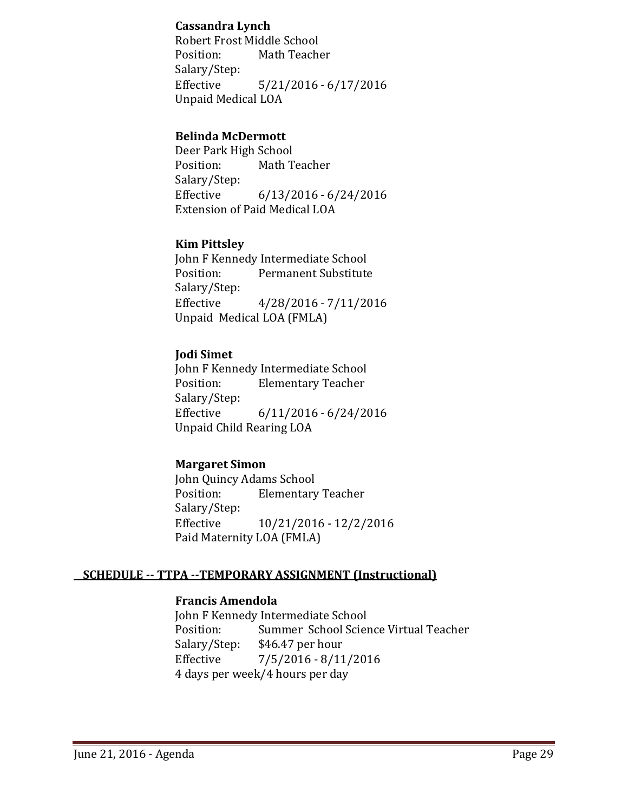## **Cassandra Lynch**

Robert Frost Middle School<br>Position: Math Teach Math Teacher Salary/Step:  $5/21/2016 - 6/17/2016$ Unpaid Medical LOA

## **Belinda McDermott**

Deer Park High School Math Teacher Salary/Step:<br>Effective  $6/13/2016 - 6/24/2016$ Extension of Paid Medical LOA

# **Kim Pittsley**

John F Kennedy Intermediate School<br>Position: Permanent Substitute Permanent Substitute Salary/Step:<br>Effective Effective 4/28/2016 - 7/11/2016 Unpaid Medical LOA (FMLA)

# **Jodi Simet**

John F Kennedy Intermediate School<br>Position: Elementary Teacher **Elementary Teacher** Salary/Step:  $6/11/2016 - 6/24/2016$ Unpaid Child Rearing LOA

# **Margaret Simon**

John Quincy Adams School<br>Position: Elementary **Elementary Teacher** Salary/Step: Effective 10/21/2016 - 12/2/2016 Paid Maternity LOA (FMLA)

# **SCHEDULE -- TTPA --TEMPORARY ASSIGNMENT (Instructional)**

## **Francis Amendola**

John F Kennedy Intermediate School<br>Position: Summer School Scier Position: Summer School Science Virtual Teacher<br>Salary/Step: \$46.47 per hour Salary/Step: \$46.47 per hour<br>Effective 7/5/2016 - 8/11  $7/5/2016 - 8/11/2016$ 4 days per week/4 hours per day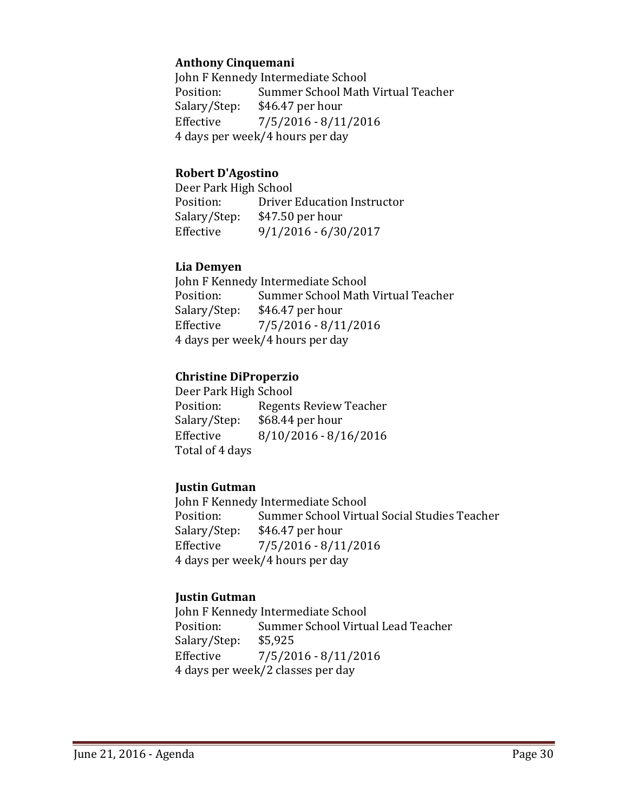# **Anthony Cinquemani**

John F Kennedy Intermediate School<br>Position: Summer School Math Position: Summer School Math Virtual Teacher<br>Salary/Step: \$46.47 per hour Salary/Step: \$46.47 per hour<br>Effective 7/5/2016 - 8/11  $7/5/2016 - 8/11/2016$ 4 days per week/4 hours per day

## **Robert D'Agostino**

Deer Park High School<br>Position: Driver Position: Driver Education Instructor<br>Salary/Step: \$47.50 per hour Salary/Step: \$47.50 per hour<br>Effective 9/1/2016 - 6/30  $9/1/2016 - 6/30/2017$ 

# **Lia Demyen**

John F Kennedy Intermediate School<br>Position: Summer School Math Position: Summer School Math Virtual Teacher<br>Salary/Step: \$46.47 per hour  $$46.47$  per hour Effective 7/5/2016 - 8/11/2016 4 days per week/4 hours per day

# **Christine DiProperzio**

Deer Park High School<br>Position: Regent Position: Regents Review Teacher<br>Salary/Step: \$68.44 per hour Salary/Step: \$68.44 per hour<br>Effective 8/10/2016 - 8/1  $8/10/2016 - 8/16/2016$ Total of 4 days

# **Justin Gutman**

John F Kennedy Intermediate School<br>Position: Summer School Virtu Position: Summer School Virtual Social Studies Teacher<br>Salary/Step: \$46.47 per hour Salary/Step: \$46.47 per hour<br>Effective 7/5/2016 - 8/11  $7/5/2016 - 8/11/2016$ 4 days per week/4 hours per day

## **Justin Gutman**

John F Kennedy Intermediate School<br>Position: Summer School Virtu Summer School Virtual Lead Teacher<br>\$5,925 Salary/Step:<br>Effective  $7/5/2016 - 8/11/2016$ 4 days per week/2 classes per day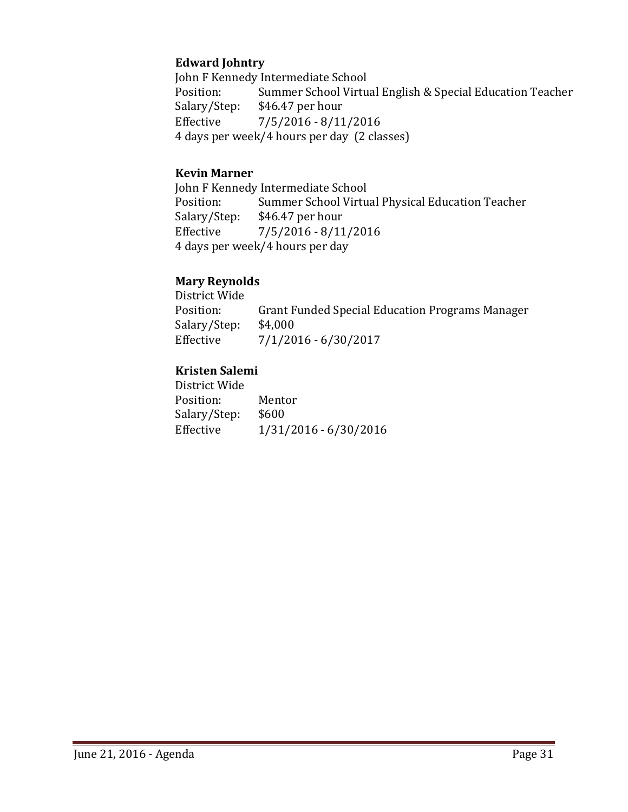# **Edward Johntry**

John F Kennedy Intermediate School<br>Position: Summer School Virtu Position: Summer School Virtual English & Special Education Teacher<br>Salary/Step: \$46.47 per hour Salary/Step: \$46.47 per hour<br>Effective 7/5/2016 - 8/11  $7/5/2016 - 8/11/2016$ 4 days per week/4 hours per day (2 classes)

# **Kevin Marner**

John F Kennedy Intermediate School<br>Position: Summer School Virtu Position: Summer School Virtual Physical Education Teacher<br>Salary/Step: \$46.47 per hour Salary/Step: \$46.47 per hour<br>Effective 7/5/2016 - 8/11  $7/5/2016 - 8/11/2016$ 4 days per week/4 hours per day

# **Mary Reynolds**

District Wide Grant Funded Special Education Programs Manager \$4,000 Salary/Step:<br>Effective  $7/1/2016 - 6/30/2017$ 

# **Kristen Salemi**

| District Wide |                       |
|---------------|-----------------------|
| Position:     | Mentor                |
| Salary/Step:  | \$600                 |
| Effective     | 1/31/2016 - 6/30/2016 |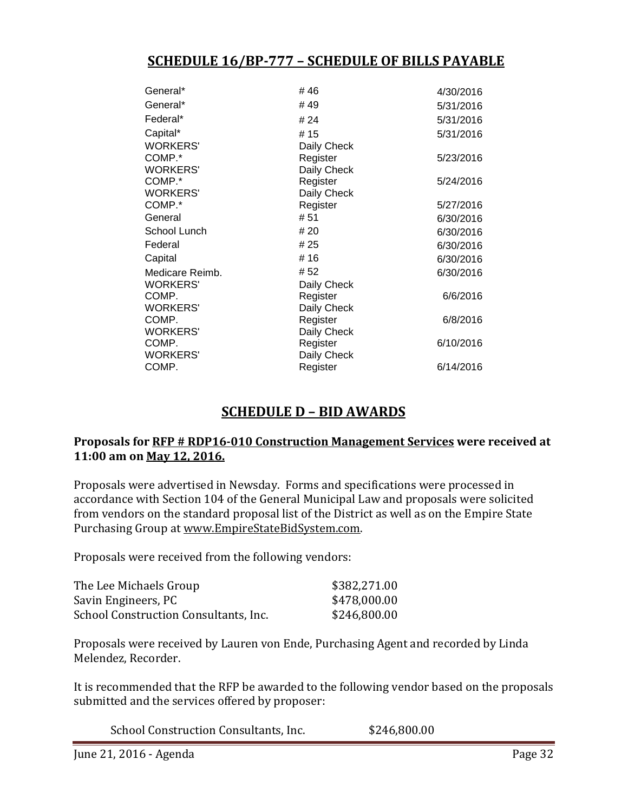# **SCHEDULE 16/BP-777 – SCHEDULE OF BILLS PAYABLE**

| General*        | #46         | 4/30/2016 |
|-----------------|-------------|-----------|
| General*        | #49         | 5/31/2016 |
| Federal*        | # 24        | 5/31/2016 |
| Capital*        | #15         | 5/31/2016 |
| <b>WORKERS'</b> | Daily Check |           |
| COMP.*          | Register    | 5/23/2016 |
| <b>WORKERS'</b> | Daily Check |           |
| COMP.*          | Register    | 5/24/2016 |
| <b>WORKERS'</b> | Daily Check |           |
| COMP.*          | Register    | 5/27/2016 |
| General         | # 51        | 6/30/2016 |
| School Lunch    | # 20        | 6/30/2016 |
| Federal         | # 25        | 6/30/2016 |
| Capital         | #16         | 6/30/2016 |
| Medicare Reimb. | # 52        | 6/30/2016 |
| <b>WORKERS'</b> | Daily Check |           |
| COMP.           | Register    | 6/6/2016  |
| <b>WORKERS'</b> | Daily Check |           |
| COMP.           | Register    | 6/8/2016  |
| <b>WORKERS'</b> | Daily Check |           |
| COMP.           | Register    | 6/10/2016 |
| <b>WORKERS'</b> | Daily Check |           |
| COMP.           | Register    | 6/14/2016 |

# **SCHEDULE D – BID AWARDS**

## **Proposals for RFP # RDP16-010 Construction Management Services were received at 11:00 am on May 12, 2016.**

Proposals were advertised in Newsday. Forms and specifications were processed in accordance with Section 104 of the General Municipal Law and proposals were solicited from vendors on the standard proposal list of the District as well as on the Empire State Purchasing Group at [www.EmpireStateBidSystem.com.](http://www.empirestatebidsystem.com/)

Proposals were received from the following vendors:

| The Lee Michaels Group                | \$382,271.00 |
|---------------------------------------|--------------|
| Savin Engineers, PC                   | \$478,000.00 |
| School Construction Consultants, Inc. | \$246,800.00 |

Proposals were received by Lauren von Ende, Purchasing Agent and recorded by Linda Melendez, Recorder.

It is recommended that the RFP be awarded to the following vendor based on the proposals submitted and the services offered by proposer:

School Construction Consultants, Inc.  $$246,800.00$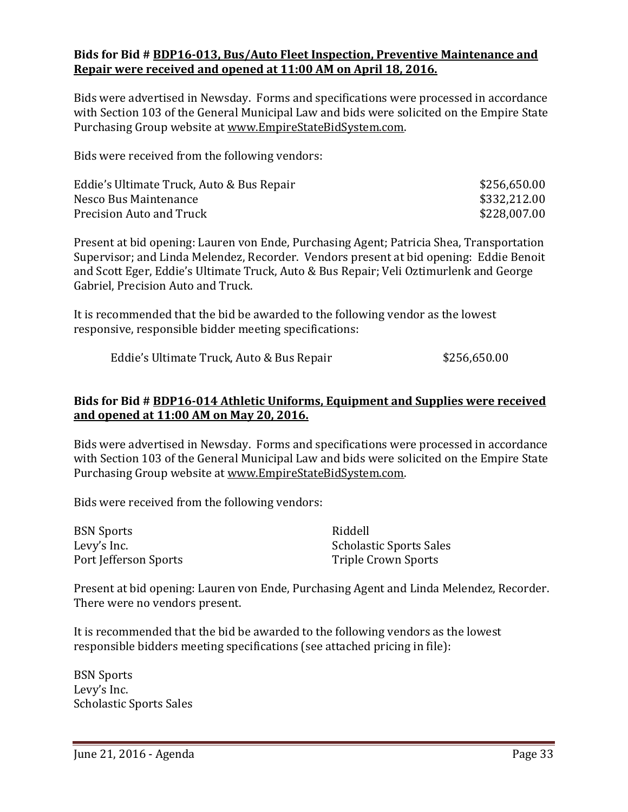#### **Bids for Bid # BDP16-013, Bus/Auto Fleet Inspection, Preventive Maintenance and Repair were received and opened at 11:00 AM on April 18, 2016.**

Bids were advertised in Newsday. Forms and specifications were processed in accordance with Section 103 of the General Municipal Law and bids were solicited on the Empire State Purchasing Group website at [www.EmpireStateBidSystem.com.](http://www.empirestatebidsystem.com/)

Bids were received from the following vendors:

| Eddie's Ultimate Truck, Auto & Bus Repair | \$256,650.00 |
|-------------------------------------------|--------------|
| Nesco Bus Maintenance                     | \$332,212.00 |
| Precision Auto and Truck                  | \$228,007.00 |

Present at bid opening: Lauren von Ende, Purchasing Agent; Patricia Shea, Transportation Supervisor; and Linda Melendez, Recorder. Vendors present at bid opening: Eddie Benoit and Scott Eger, Eddie's Ultimate Truck, Auto & Bus Repair; Veli Oztimurlenk and George Gabriel, Precision Auto and Truck.

It is recommended that the bid be awarded to the following vendor as the lowest responsive, responsible bidder meeting specifications:

Eddie's Ultimate Truck, Auto & Bus Repair  $$256,650.00$ 

# **Bids for Bid # BDP16-014 Athletic Uniforms, Equipment and Supplies were received and opened at 11:00 AM on May 20, 2016.**

Bids were advertised in Newsday. Forms and specifications were processed in accordance with Section 103 of the General Municipal Law and bids were solicited on the Empire State Purchasing Group website at [www.EmpireStateBidSystem.com.](http://www.empirestatebidsystem.com/)

Bids were received from the following vendors:

BSN Sports<br>
Levy's Inc. Scholas Port Jefferson Sports

Scholastic Sports Sales<br>Triple Crown Sports

Present at bid opening: Lauren von Ende, Purchasing Agent and Linda Melendez, Recorder. There were no vendors present.

It is recommended that the bid be awarded to the following vendors as the lowest responsible bidders meeting specifications (see attached pricing in file):

BSN Sports Levy's Inc. Scholastic Sports Sales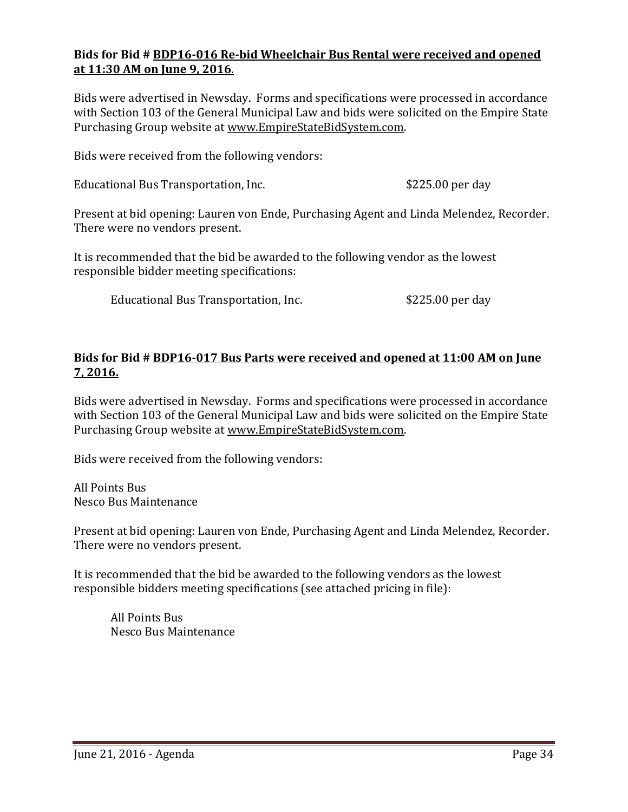# **Bids for Bid # BDP16-016 Re-bid Wheelchair Bus Rental were received and opened at 11:30 AM on June 9, 2016**.

Bids were advertised in Newsday. Forms and specifications were processed in accordance with Section 103 of the General Municipal Law and bids were solicited on the Empire State Purchasing Group website at [www.EmpireStateBidSystem.com.](http://www.empirestatebidsystem.com/)

Bids were received from the following vendors:

Educational Bus Transportation, Inc. 6225.00 per day

Present at bid opening: Lauren von Ende, Purchasing Agent and Linda Melendez, Recorder. There were no vendors present.

It is recommended that the bid be awarded to the following vendor as the lowest responsible bidder meeting specifications:

Educational Bus Transportation, Inc.  $$225.00$  per day

## **Bids for Bid # BDP16-017 Bus Parts were received and opened at 11:00 AM on June 7, 2016.**

Bids were advertised in Newsday. Forms and specifications were processed in accordance with Section 103 of the General Municipal Law and bids were solicited on the Empire State Purchasing Group website at [www.EmpireStateBidSystem.com.](http://www.empirestatebidsystem.com/)

Bids were received from the following vendors:

All Points Bus Nesco Bus Maintenance

Present at bid opening: Lauren von Ende, Purchasing Agent and Linda Melendez, Recorder. There were no vendors present.

It is recommended that the bid be awarded to the following vendors as the lowest responsible bidders meeting specifications (see attached pricing in file):

All Points Bus Nesco Bus Maintenance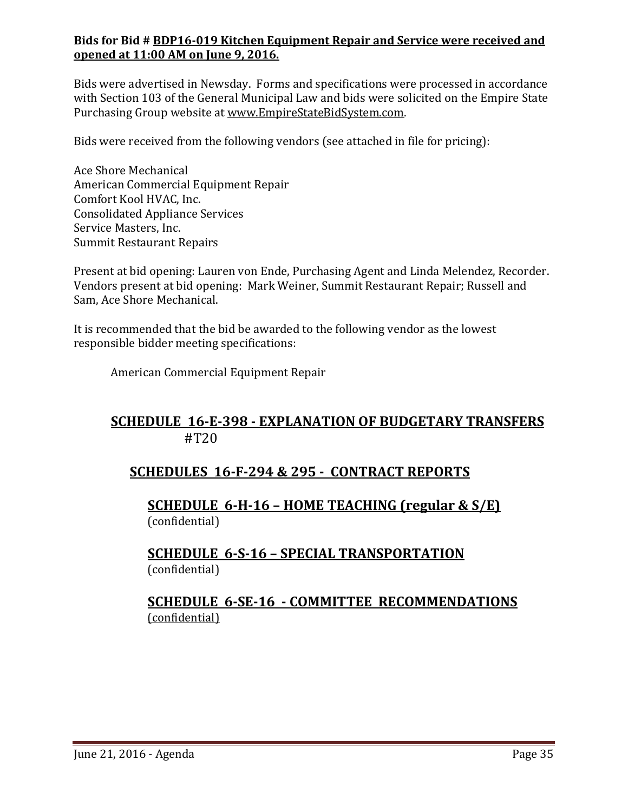# **Bids for Bid # BDP16-019 Kitchen Equipment Repair and Service were received and opened at 11:00 AM on June 9, 2016.**

Bids were advertised in Newsday. Forms and specifications were processed in accordance with Section 103 of the General Municipal Law and bids were solicited on the Empire State Purchasing Group website at [www.EmpireStateBidSystem.com.](http://www.empirestatebidsystem.com/)

Bids were received from the following vendors (see attached in file for pricing):

Ace Shore Mechanical American Commercial Equipment Repair Comfort Kool HVAC, Inc. Consolidated Appliance Services Service Masters, Inc. Summit Restaurant Repairs

Present at bid opening: Lauren von Ende, Purchasing Agent and Linda Melendez, Recorder. Vendors present at bid opening: Mark Weiner, Summit Restaurant Repair; Russell and Sam, Ace Shore Mechanical.

It is recommended that the bid be awarded to the following vendor as the lowest responsible bidder meeting specifications:

American Commercial Equipment Repair

# **SCHEDULE 16-E-398 - EXPLANATION OF BUDGETARY TRANSFERS** #T20

# **SCHEDULES 16-F-294 & 295 - CONTRACT REPORTS**

**SCHEDULE 6-H-16 – HOME TEACHING (regular & S/E)**  (confidential)

# **SCHEDULE 6-S-16 – SPECIAL TRANSPORTATION**  (confidential)

# **SCHEDULE 6-SE-16 - COMMITTEE RECOMMENDATIONS** (confidential)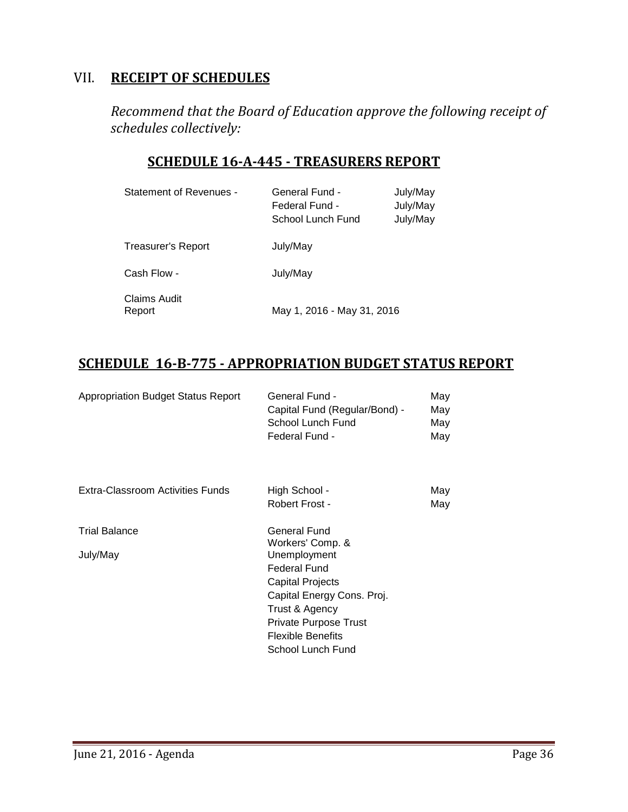# VII. **RECEIPT OF SCHEDULES**

*Recommend that the Board of Education approve the following receipt of schedules collectively:*

# **SCHEDULE 16-A-445 - TREASURERS REPORT**

| <b>Statement of Revenues -</b> | <b>General Fund -</b><br>Federal Fund -<br>School Lunch Fund | July/May<br>July/May<br>July/May |
|--------------------------------|--------------------------------------------------------------|----------------------------------|
| Treasurer's Report             | July/May                                                     |                                  |
| Cash Flow -                    | July/May                                                     |                                  |
| Claims Audit<br>Report         | May 1, 2016 - May 31, 2016                                   |                                  |

# **SCHEDULE 16-B-775 - APPROPRIATION BUDGET STATUS REPORT**

| <b>Appropriation Budget Status Report</b> | General Fund -<br>Capital Fund (Regular/Bond) -<br>School Lunch Fund<br>Federal Fund - | May<br>May<br>May<br>May |
|-------------------------------------------|----------------------------------------------------------------------------------------|--------------------------|
| Extra-Classroom Activities Funds          | High School -                                                                          | May                      |
|                                           | Robert Frost -                                                                         | May                      |
| <b>Trial Balance</b>                      | General Fund<br>Workers' Comp. &                                                       |                          |
| July/May                                  | Unemployment<br><b>Federal Fund</b>                                                    |                          |
|                                           | <b>Capital Projects</b>                                                                |                          |
|                                           | Capital Energy Cons. Proj.                                                             |                          |
|                                           | Trust & Agency                                                                         |                          |
|                                           | Private Purpose Trust                                                                  |                          |
|                                           | <b>Flexible Benefits</b>                                                               |                          |
|                                           | School Lunch Fund                                                                      |                          |